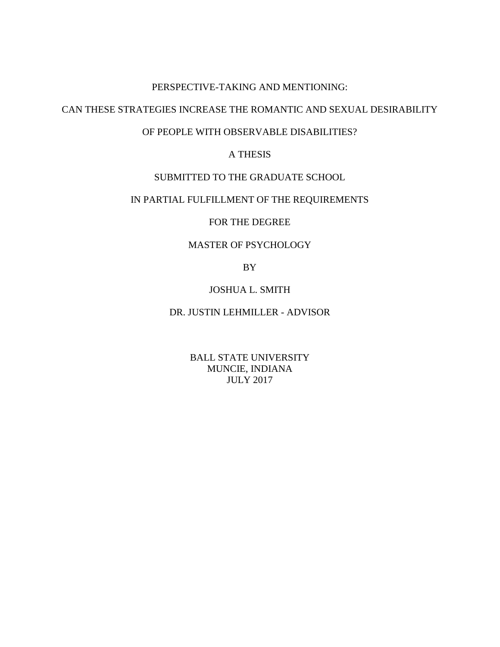#### PERSPECTIVE-TAKING AND MENTIONING:

## CAN THESE STRATEGIES INCREASE THE ROMANTIC AND SEXUAL DESIRABILITY

## OF PEOPLE WITH OBSERVABLE DISABILITIES?

## A THESIS

## SUBMITTED TO THE GRADUATE SCHOOL

## IN PARTIAL FULFILLMENT OF THE REQUIREMENTS

## FOR THE DEGREE

## MASTER OF PSYCHOLOGY

BY

## JOSHUA L. SMITH

## DR. JUSTIN LEHMILLER - ADVISOR

BALL STATE UNIVERSITY MUNCIE, INDIANA JULY 2017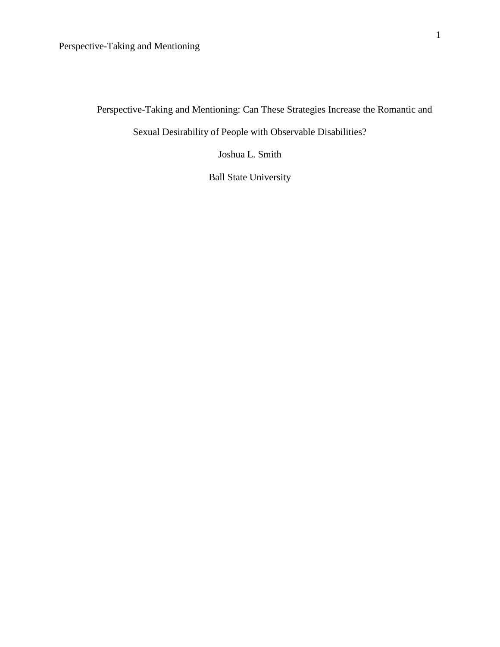Perspective-Taking and Mentioning: Can These Strategies Increase the Romantic and

Sexual Desirability of People with Observable Disabilities?

Joshua L. Smith

Ball State University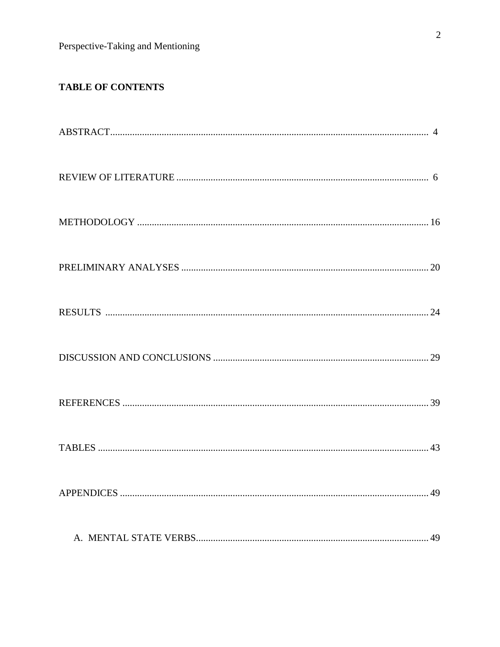# TABLE OF CONTENTS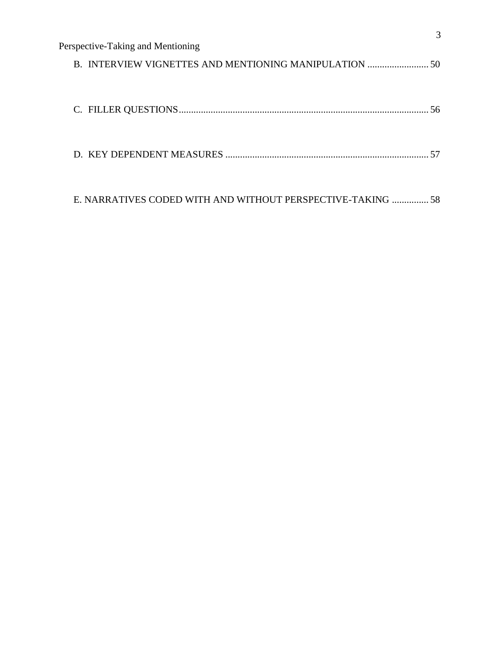| Perspective-Taking and Mentioning                           |  |
|-------------------------------------------------------------|--|
| B. INTERVIEW VIGNETTES AND MENTIONING MANIPULATION  50      |  |
|                                                             |  |
|                                                             |  |
|                                                             |  |
|                                                             |  |
|                                                             |  |
| E. NARRATIVES CODED WITH AND WITHOUT PERSPECTIVE-TAKING  58 |  |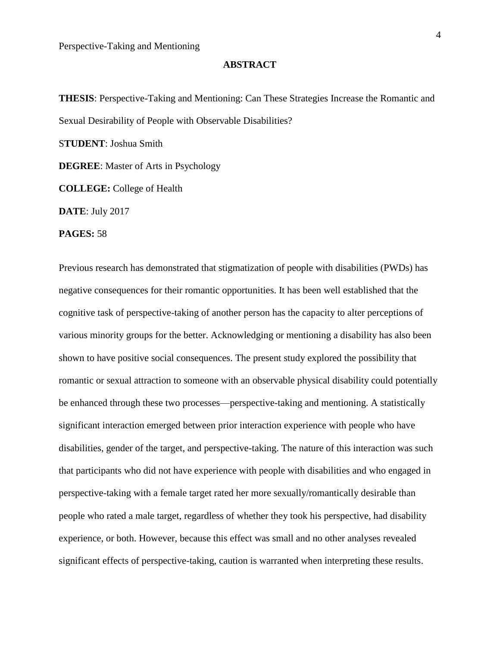#### **ABSTRACT**

**THESIS**: Perspective-Taking and Mentioning: Can These Strategies Increase the Romantic and Sexual Desirability of People with Observable Disabilities? S**TUDENT**: Joshua Smith **DEGREE**: Master of Arts in Psychology **COLLEGE:** College of Health **DATE**: July 2017

**PAGES:** 58

Previous research has demonstrated that stigmatization of people with disabilities (PWDs) has negative consequences for their romantic opportunities. It has been well established that the cognitive task of perspective-taking of another person has the capacity to alter perceptions of various minority groups for the better. Acknowledging or mentioning a disability has also been shown to have positive social consequences. The present study explored the possibility that romantic or sexual attraction to someone with an observable physical disability could potentially be enhanced through these two processes—perspective-taking and mentioning. A statistically significant interaction emerged between prior interaction experience with people who have disabilities, gender of the target, and perspective-taking. The nature of this interaction was such that participants who did not have experience with people with disabilities and who engaged in perspective-taking with a female target rated her more sexually/romantically desirable than people who rated a male target, regardless of whether they took his perspective, had disability experience, or both. However, because this effect was small and no other analyses revealed significant effects of perspective-taking, caution is warranted when interpreting these results.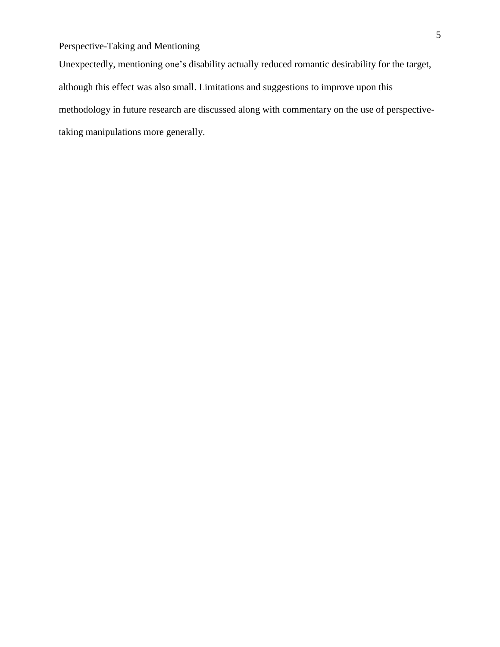Unexpectedly, mentioning one's disability actually reduced romantic desirability for the target, although this effect was also small. Limitations and suggestions to improve upon this methodology in future research are discussed along with commentary on the use of perspectivetaking manipulations more generally.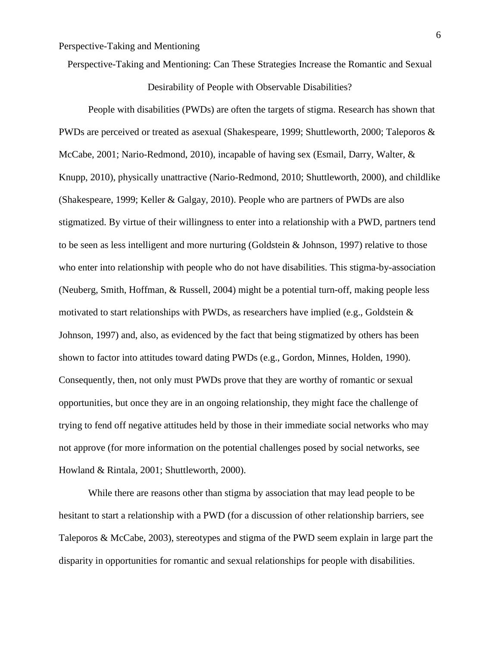Perspective-Taking and Mentioning: Can These Strategies Increase the Romantic and Sexual

Desirability of People with Observable Disabilities?

People with disabilities (PWDs) are often the targets of stigma. Research has shown that PWDs are perceived or treated as asexual (Shakespeare, 1999; Shuttleworth, 2000; Taleporos & McCabe, 2001; Nario-Redmond, 2010), incapable of having sex (Esmail, Darry, Walter, & Knupp, 2010), physically unattractive (Nario-Redmond, 2010; Shuttleworth, 2000), and childlike (Shakespeare, 1999; Keller & Galgay, 2010). People who are partners of PWDs are also stigmatized. By virtue of their willingness to enter into a relationship with a PWD, partners tend to be seen as less intelligent and more nurturing (Goldstein & Johnson, 1997) relative to those who enter into relationship with people who do not have disabilities. This stigma-by-association (Neuberg, Smith, Hoffman, & Russell, 2004) might be a potential turn-off, making people less motivated to start relationships with PWDs, as researchers have implied (e.g., Goldstein & Johnson, 1997) and, also, as evidenced by the fact that being stigmatized by others has been shown to factor into attitudes toward dating PWDs (e.g., Gordon, Minnes, Holden, 1990). Consequently, then, not only must PWDs prove that they are worthy of romantic or sexual opportunities, but once they are in an ongoing relationship, they might face the challenge of trying to fend off negative attitudes held by those in their immediate social networks who may not approve (for more information on the potential challenges posed by social networks, see Howland & Rintala, 2001; Shuttleworth, 2000).

While there are reasons other than stigma by association that may lead people to be hesitant to start a relationship with a PWD (for a discussion of other relationship barriers, see Taleporos & McCabe, 2003), stereotypes and stigma of the PWD seem explain in large part the disparity in opportunities for romantic and sexual relationships for people with disabilities.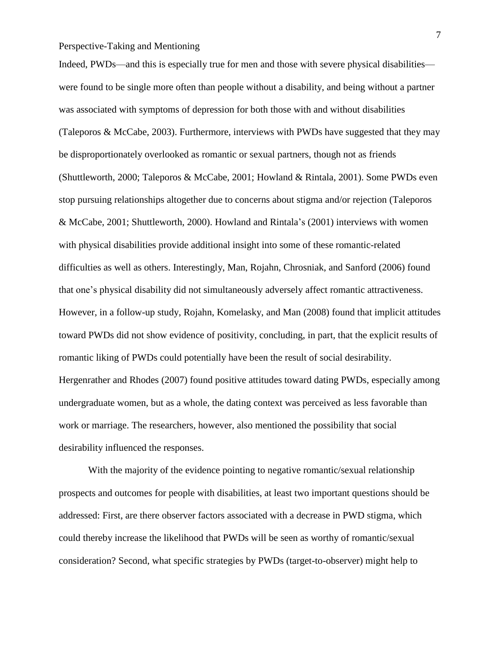Indeed, PWDs—and this is especially true for men and those with severe physical disabilities were found to be single more often than people without a disability, and being without a partner was associated with symptoms of depression for both those with and without disabilities (Taleporos & McCabe, 2003). Furthermore, interviews with PWDs have suggested that they may be disproportionately overlooked as romantic or sexual partners, though not as friends (Shuttleworth, 2000; Taleporos & McCabe, 2001; Howland & Rintala, 2001). Some PWDs even stop pursuing relationships altogether due to concerns about stigma and/or rejection (Taleporos & McCabe, 2001; Shuttleworth, 2000). Howland and Rintala's (2001) interviews with women with physical disabilities provide additional insight into some of these romantic-related difficulties as well as others. Interestingly, Man, Rojahn, Chrosniak, and Sanford (2006) found that one's physical disability did not simultaneously adversely affect romantic attractiveness. However, in a follow-up study, Rojahn, Komelasky, and Man (2008) found that implicit attitudes toward PWDs did not show evidence of positivity, concluding, in part, that the explicit results of romantic liking of PWDs could potentially have been the result of social desirability. Hergenrather and Rhodes (2007) found positive attitudes toward dating PWDs, especially among undergraduate women, but as a whole, the dating context was perceived as less favorable than work or marriage. The researchers, however, also mentioned the possibility that social desirability influenced the responses.

With the majority of the evidence pointing to negative romantic/sexual relationship prospects and outcomes for people with disabilities, at least two important questions should be addressed: First, are there observer factors associated with a decrease in PWD stigma, which could thereby increase the likelihood that PWDs will be seen as worthy of romantic/sexual consideration? Second, what specific strategies by PWDs (target-to-observer) might help to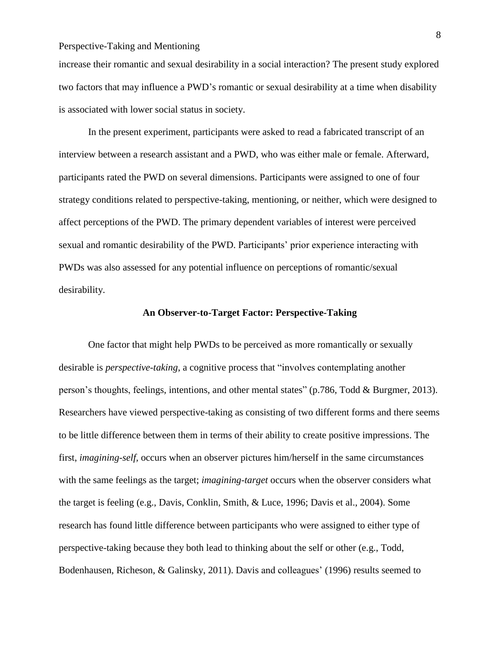increase their romantic and sexual desirability in a social interaction? The present study explored two factors that may influence a PWD's romantic or sexual desirability at a time when disability is associated with lower social status in society.

In the present experiment, participants were asked to read a fabricated transcript of an interview between a research assistant and a PWD, who was either male or female. Afterward, participants rated the PWD on several dimensions. Participants were assigned to one of four strategy conditions related to perspective-taking, mentioning, or neither, which were designed to affect perceptions of the PWD. The primary dependent variables of interest were perceived sexual and romantic desirability of the PWD. Participants' prior experience interacting with PWDs was also assessed for any potential influence on perceptions of romantic/sexual desirability.

#### **An Observer-to-Target Factor: Perspective-Taking**

One factor that might help PWDs to be perceived as more romantically or sexually desirable is *perspective-taking*, a cognitive process that "involves contemplating another person's thoughts, feelings, intentions, and other mental states" (p.786, Todd & Burgmer, 2013). Researchers have viewed perspective-taking as consisting of two different forms and there seems to be little difference between them in terms of their ability to create positive impressions. The first, *imagining-self,* occurs when an observer pictures him/herself in the same circumstances with the same feelings as the target; *imagining-target* occurs when the observer considers what the target is feeling (e.g., Davis, Conklin, Smith, & Luce, 1996; Davis et al., 2004). Some research has found little difference between participants who were assigned to either type of perspective-taking because they both lead to thinking about the self or other (e.g., Todd, Bodenhausen, Richeson, & Galinsky, 2011). Davis and colleagues' (1996) results seemed to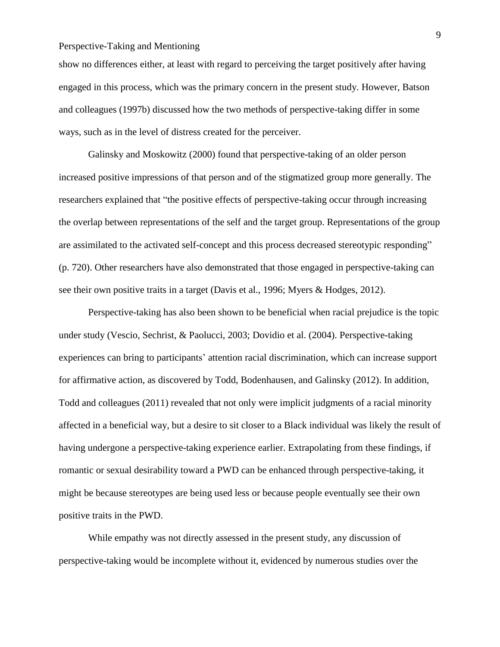show no differences either, at least with regard to perceiving the target positively after having engaged in this process, which was the primary concern in the present study. However, Batson and colleagues (1997b) discussed how the two methods of perspective-taking differ in some ways, such as in the level of distress created for the perceiver.

Galinsky and Moskowitz (2000) found that perspective-taking of an older person increased positive impressions of that person and of the stigmatized group more generally. The researchers explained that "the positive effects of perspective-taking occur through increasing the overlap between representations of the self and the target group. Representations of the group are assimilated to the activated self-concept and this process decreased stereotypic responding" (p. 720). Other researchers have also demonstrated that those engaged in perspective-taking can see their own positive traits in a target (Davis et al., 1996; Myers & Hodges, 2012).

Perspective-taking has also been shown to be beneficial when racial prejudice is the topic under study (Vescio, Sechrist, & Paolucci, 2003; Dovidio et al. (2004). Perspective-taking experiences can bring to participants' attention racial discrimination, which can increase support for affirmative action, as discovered by Todd, Bodenhausen, and Galinsky (2012). In addition, Todd and colleagues (2011) revealed that not only were implicit judgments of a racial minority affected in a beneficial way, but a desire to sit closer to a Black individual was likely the result of having undergone a perspective-taking experience earlier. Extrapolating from these findings, if romantic or sexual desirability toward a PWD can be enhanced through perspective-taking, it might be because stereotypes are being used less or because people eventually see their own positive traits in the PWD.

While empathy was not directly assessed in the present study, any discussion of perspective-taking would be incomplete without it, evidenced by numerous studies over the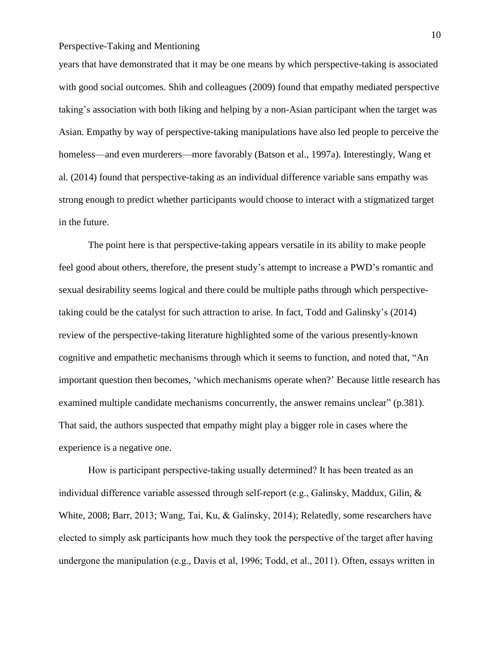years that have demonstrated that it may be one means by which perspective-taking is associated with good social outcomes. Shih and colleagues (2009) found that empathy mediated perspective taking's association with both liking and helping by a non-Asian participant when the target was Asian. Empathy by way of perspective-taking manipulations have also led people to perceive the homeless—and even murderers—more favorably (Batson et al., 1997a). Interestingly, Wang et al. (2014) found that perspective-taking as an individual difference variable sans empathy was strong enough to predict whether participants would choose to interact with a stigmatized target in the future.

The point here is that perspective-taking appears versatile in its ability to make people feel good about others, therefore, the present study's attempt to increase a PWD's romantic and sexual desirability seems logical and there could be multiple paths through which perspectivetaking could be the catalyst for such attraction to arise. In fact, Todd and Galinsky's (2014) review of the perspective-taking literature highlighted some of the various presently-known cognitive and empathetic mechanisms through which it seems to function, and noted that, "An important question then becomes, 'which mechanisms operate when?' Because little research has examined multiple candidate mechanisms concurrently, the answer remains unclear" (p.381). That said, the authors suspected that empathy might play a bigger role in cases where the experience is a negative one.

How is participant perspective-taking usually determined? It has been treated as an individual difference variable assessed through self-report (e.g., Galinsky, Maddux, Gilin, & White, 2008; Barr, 2013; Wang, Tai, Ku, & Galinsky, 2014); Relatedly, some researchers have elected to simply ask participants how much they took the perspective of the target after having undergone the manipulation (e.g., Davis et al, 1996; Todd, et al., 2011). Often, essays written in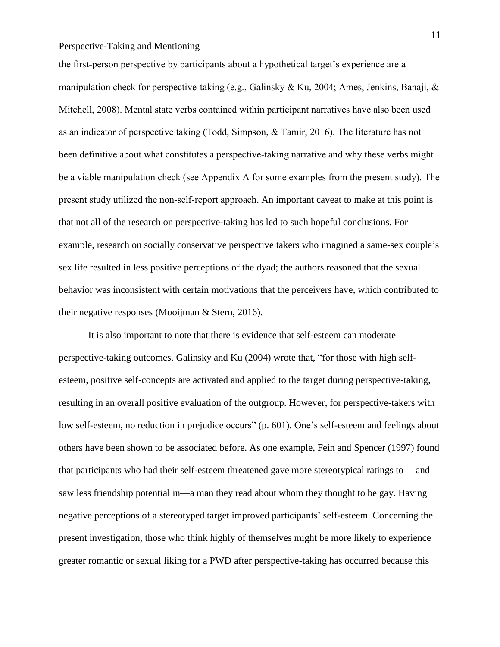the first-person perspective by participants about a hypothetical target's experience are a manipulation check for perspective-taking (e.g., Galinsky & Ku, 2004; Ames, Jenkins, Banaji, & Mitchell, 2008). Mental state verbs contained within participant narratives have also been used as an indicator of perspective taking (Todd, Simpson, & Tamir, 2016). The literature has not been definitive about what constitutes a perspective-taking narrative and why these verbs might be a viable manipulation check (see Appendix A for some examples from the present study). The present study utilized the non-self-report approach. An important caveat to make at this point is that not all of the research on perspective-taking has led to such hopeful conclusions. For example, research on socially conservative perspective takers who imagined a same-sex couple's sex life resulted in less positive perceptions of the dyad; the authors reasoned that the sexual behavior was inconsistent with certain motivations that the perceivers have, which contributed to their negative responses (Mooijman & Stern, 2016).

It is also important to note that there is evidence that self-esteem can moderate perspective-taking outcomes. Galinsky and Ku (2004) wrote that, "for those with high selfesteem, positive self-concepts are activated and applied to the target during perspective-taking, resulting in an overall positive evaluation of the outgroup. However, for perspective-takers with low self-esteem, no reduction in prejudice occurs" (p. 601). One's self-esteem and feelings about others have been shown to be associated before. As one example, Fein and Spencer (1997) found that participants who had their self-esteem threatened gave more stereotypical ratings to— and saw less friendship potential in—a man they read about whom they thought to be gay. Having negative perceptions of a stereotyped target improved participants' self-esteem. Concerning the present investigation, those who think highly of themselves might be more likely to experience greater romantic or sexual liking for a PWD after perspective-taking has occurred because this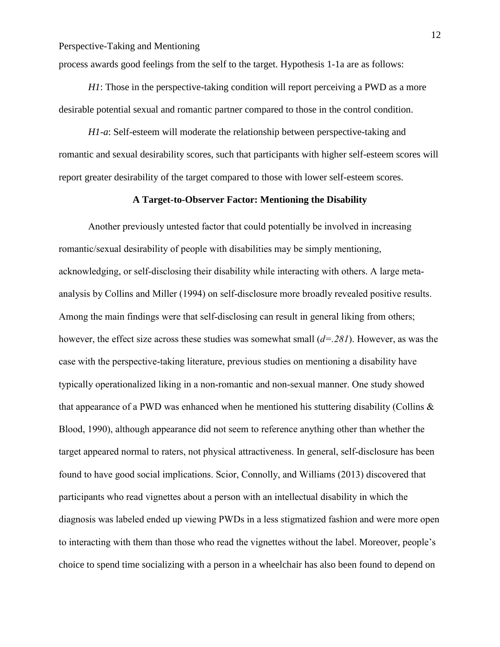process awards good feelings from the self to the target. Hypothesis 1-1a are as follows:

*H1*: Those in the perspective-taking condition will report perceiving a PWD as a more desirable potential sexual and romantic partner compared to those in the control condition.

*H1-a*: Self-esteem will moderate the relationship between perspective-taking and romantic and sexual desirability scores, such that participants with higher self-esteem scores will report greater desirability of the target compared to those with lower self-esteem scores.

#### **A Target-to-Observer Factor: Mentioning the Disability**

Another previously untested factor that could potentially be involved in increasing romantic/sexual desirability of people with disabilities may be simply mentioning, acknowledging, or self-disclosing their disability while interacting with others. A large metaanalysis by Collins and Miller (1994) on self-disclosure more broadly revealed positive results. Among the main findings were that self-disclosing can result in general liking from others; however, the effect size across these studies was somewhat small (*d=.281*). However, as was the case with the perspective-taking literature, previous studies on mentioning a disability have typically operationalized liking in a non-romantic and non-sexual manner. One study showed that appearance of a PWD was enhanced when he mentioned his stuttering disability (Collins  $\&$ Blood, 1990), although appearance did not seem to reference anything other than whether the target appeared normal to raters, not physical attractiveness. In general, self-disclosure has been found to have good social implications. Scior, Connolly, and Williams (2013) discovered that participants who read vignettes about a person with an intellectual disability in which the diagnosis was labeled ended up viewing PWDs in a less stigmatized fashion and were more open to interacting with them than those who read the vignettes without the label. Moreover, people's choice to spend time socializing with a person in a wheelchair has also been found to depend on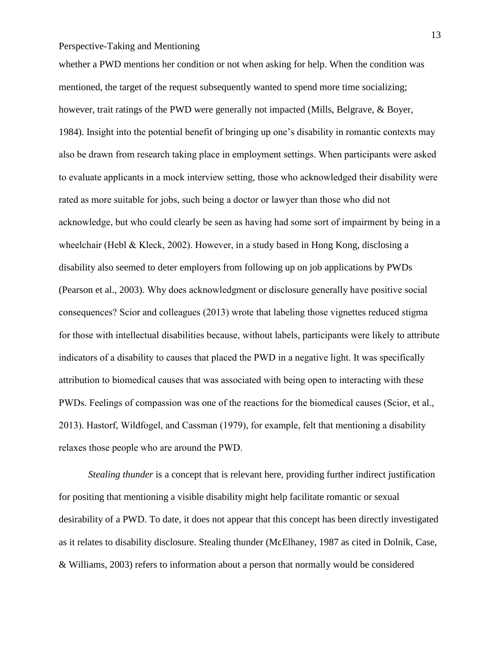whether a PWD mentions her condition or not when asking for help. When the condition was mentioned, the target of the request subsequently wanted to spend more time socializing; however, trait ratings of the PWD were generally not impacted (Mills, Belgrave, & Boyer, 1984). Insight into the potential benefit of bringing up one's disability in romantic contexts may also be drawn from research taking place in employment settings. When participants were asked to evaluate applicants in a mock interview setting, those who acknowledged their disability were rated as more suitable for jobs, such being a doctor or lawyer than those who did not acknowledge, but who could clearly be seen as having had some sort of impairment by being in a wheelchair (Hebl & Kleck, 2002). However, in a study based in Hong Kong, disclosing a disability also seemed to deter employers from following up on job applications by PWDs (Pearson et al., 2003). Why does acknowledgment or disclosure generally have positive social consequences? Scior and colleagues (2013) wrote that labeling those vignettes reduced stigma for those with intellectual disabilities because, without labels, participants were likely to attribute indicators of a disability to causes that placed the PWD in a negative light. It was specifically attribution to biomedical causes that was associated with being open to interacting with these PWDs. Feelings of compassion was one of the reactions for the biomedical causes (Scior, et al., 2013). Hastorf, Wildfogel, and Cassman (1979), for example, felt that mentioning a disability relaxes those people who are around the PWD.

*Stealing thunder* is a concept that is relevant here, providing further indirect justification for positing that mentioning a visible disability might help facilitate romantic or sexual desirability of a PWD. To date, it does not appear that this concept has been directly investigated as it relates to disability disclosure. Stealing thunder (McElhaney, 1987 as cited in Dolnik, Case, & Williams, 2003) refers to information about a person that normally would be considered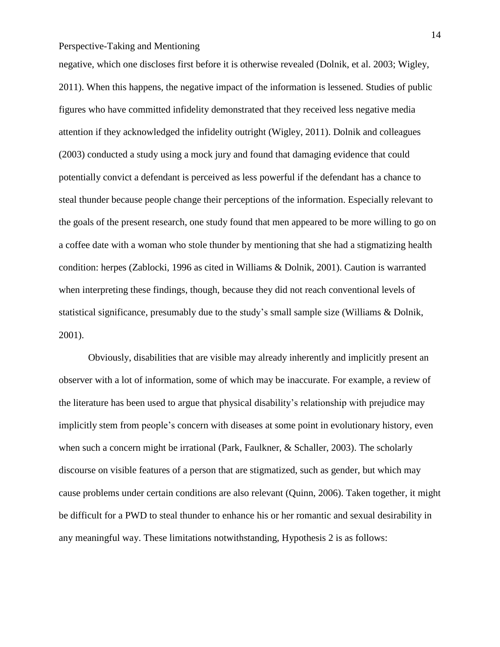negative, which one discloses first before it is otherwise revealed (Dolnik, et al. 2003; Wigley, 2011). When this happens, the negative impact of the information is lessened. Studies of public figures who have committed infidelity demonstrated that they received less negative media attention if they acknowledged the infidelity outright (Wigley, 2011). Dolnik and colleagues (2003) conducted a study using a mock jury and found that damaging evidence that could potentially convict a defendant is perceived as less powerful if the defendant has a chance to steal thunder because people change their perceptions of the information. Especially relevant to the goals of the present research, one study found that men appeared to be more willing to go on a coffee date with a woman who stole thunder by mentioning that she had a stigmatizing health condition: herpes (Zablocki, 1996 as cited in Williams & Dolnik, 2001). Caution is warranted when interpreting these findings, though, because they did not reach conventional levels of statistical significance, presumably due to the study's small sample size (Williams & Dolnik, 2001).

Obviously, disabilities that are visible may already inherently and implicitly present an observer with a lot of information, some of which may be inaccurate. For example, a review of the literature has been used to argue that physical disability's relationship with prejudice may implicitly stem from people's concern with diseases at some point in evolutionary history, even when such a concern might be irrational (Park, Faulkner, & Schaller, 2003). The scholarly discourse on visible features of a person that are stigmatized, such as gender, but which may cause problems under certain conditions are also relevant (Quinn, 2006). Taken together, it might be difficult for a PWD to steal thunder to enhance his or her romantic and sexual desirability in any meaningful way. These limitations notwithstanding, Hypothesis 2 is as follows: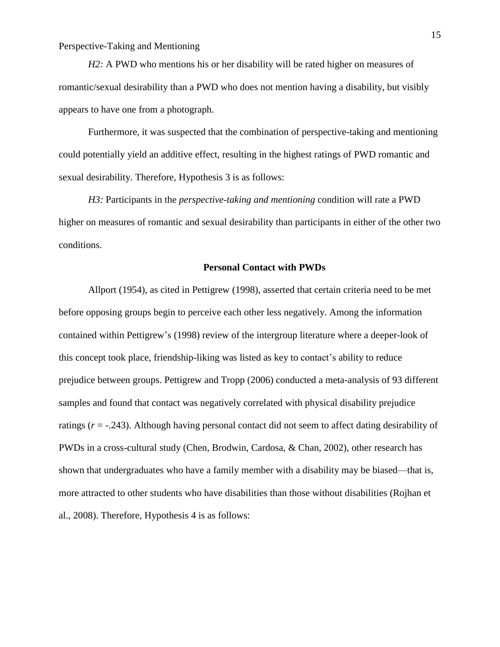*H2*: A PWD who mentions his or her disability will be rated higher on measures of romantic/sexual desirability than a PWD who does not mention having a disability, but visibly appears to have one from a photograph.

Furthermore, it was suspected that the combination of perspective-taking and mentioning could potentially yield an additive effect, resulting in the highest ratings of PWD romantic and sexual desirability. Therefore, Hypothesis 3 is as follows:

*H3:* Participants in the *perspective-taking and mentioning* condition will rate a PWD higher on measures of romantic and sexual desirability than participants in either of the other two conditions.

#### **Personal Contact with PWDs**

Allport (1954), as cited in Pettigrew (1998), asserted that certain criteria need to be met before opposing groups begin to perceive each other less negatively. Among the information contained within Pettigrew's (1998) review of the intergroup literature where a deeper-look of this concept took place, friendship-liking was listed as key to contact's ability to reduce prejudice between groups. Pettigrew and Tropp (2006) conducted a meta-analysis of 93 different samples and found that contact was negatively correlated with physical disability prejudice ratings (*r* = -.243). Although having personal contact did not seem to affect dating desirability of PWDs in a cross-cultural study (Chen, Brodwin, Cardosa, & Chan, 2002), other research has shown that undergraduates who have a family member with a disability may be biased—that is, more attracted to other students who have disabilities than those without disabilities (Rojhan et al., 2008). Therefore, Hypothesis 4 is as follows: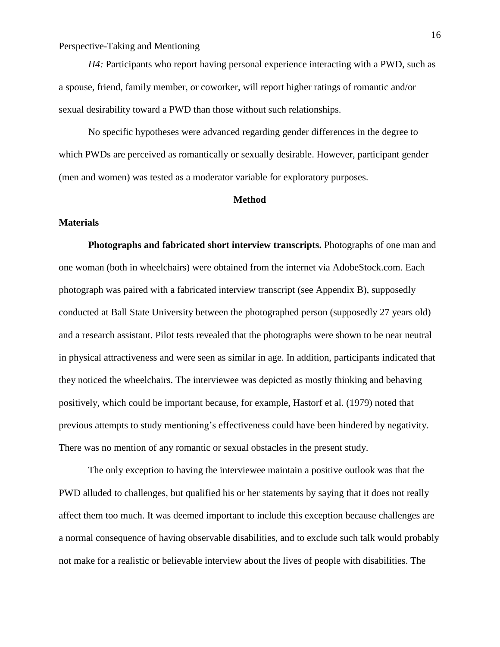*H4:* Participants who report having personal experience interacting with a PWD, such as a spouse, friend, family member, or coworker, will report higher ratings of romantic and/or sexual desirability toward a PWD than those without such relationships.

No specific hypotheses were advanced regarding gender differences in the degree to which PWDs are perceived as romantically or sexually desirable. However, participant gender (men and women) was tested as a moderator variable for exploratory purposes.

#### **Method**

#### **Materials**

**Photographs and fabricated short interview transcripts.** Photographs of one man and one woman (both in wheelchairs) were obtained from the internet via AdobeStock.com. Each photograph was paired with a fabricated interview transcript (see Appendix B), supposedly conducted at Ball State University between the photographed person (supposedly 27 years old) and a research assistant. Pilot tests revealed that the photographs were shown to be near neutral in physical attractiveness and were seen as similar in age. In addition, participants indicated that they noticed the wheelchairs. The interviewee was depicted as mostly thinking and behaving positively, which could be important because, for example, Hastorf et al. (1979) noted that previous attempts to study mentioning's effectiveness could have been hindered by negativity. There was no mention of any romantic or sexual obstacles in the present study.

The only exception to having the interviewee maintain a positive outlook was that the PWD alluded to challenges, but qualified his or her statements by saying that it does not really affect them too much. It was deemed important to include this exception because challenges are a normal consequence of having observable disabilities, and to exclude such talk would probably not make for a realistic or believable interview about the lives of people with disabilities. The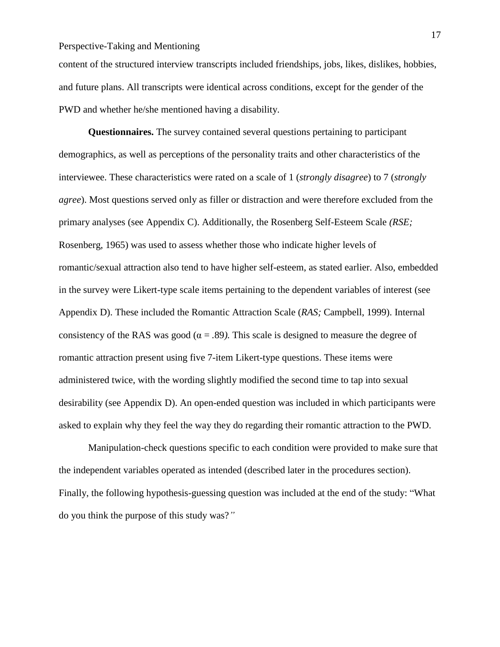content of the structured interview transcripts included friendships, jobs, likes, dislikes, hobbies, and future plans. All transcripts were identical across conditions, except for the gender of the PWD and whether he/she mentioned having a disability.

**Questionnaires.** The survey contained several questions pertaining to participant demographics, as well as perceptions of the personality traits and other characteristics of the interviewee. These characteristics were rated on a scale of 1 (*strongly disagree*) to 7 (*strongly agree*). Most questions served only as filler or distraction and were therefore excluded from the primary analyses (see Appendix C). Additionally, the Rosenberg Self-Esteem Scale *(RSE;* Rosenberg, 1965) was used to assess whether those who indicate higher levels of romantic/sexual attraction also tend to have higher self-esteem, as stated earlier. Also, embedded in the survey were Likert-type scale items pertaining to the dependent variables of interest (see Appendix D). These included the Romantic Attraction Scale (*RAS;* Campbell, 1999). Internal consistency of the RAS was good ( $\alpha = .89$ ). This scale is designed to measure the degree of romantic attraction present using five 7-item Likert-type questions. These items were administered twice, with the wording slightly modified the second time to tap into sexual desirability (see Appendix D). An open-ended question was included in which participants were asked to explain why they feel the way they do regarding their romantic attraction to the PWD.

Manipulation-check questions specific to each condition were provided to make sure that the independent variables operated as intended (described later in the procedures section). Finally, the following hypothesis-guessing question was included at the end of the study: "What do you think the purpose of this study was?*"*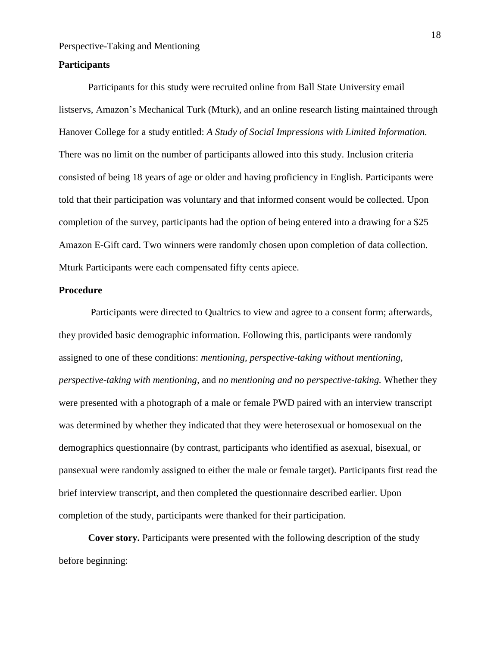#### **Participants**

Participants for this study were recruited online from Ball State University email listservs, Amazon's Mechanical Turk (Mturk), and an online research listing maintained through Hanover College for a study entitled: *A Study of Social Impressions with Limited Information.* There was no limit on the number of participants allowed into this study. Inclusion criteria consisted of being 18 years of age or older and having proficiency in English. Participants were told that their participation was voluntary and that informed consent would be collected. Upon completion of the survey, participants had the option of being entered into a drawing for a \$25 Amazon E-Gift card. Two winners were randomly chosen upon completion of data collection. Mturk Participants were each compensated fifty cents apiece.

#### **Procedure**

Participants were directed to Qualtrics to view and agree to a consent form; afterwards, they provided basic demographic information. Following this, participants were randomly assigned to one of these conditions: *mentioning, perspective-taking without mentioning, perspective-taking with mentioning,* and *no mentioning and no perspective-taking.* Whether they were presented with a photograph of a male or female PWD paired with an interview transcript was determined by whether they indicated that they were heterosexual or homosexual on the demographics questionnaire (by contrast, participants who identified as asexual, bisexual, or pansexual were randomly assigned to either the male or female target). Participants first read the brief interview transcript, and then completed the questionnaire described earlier. Upon completion of the study, participants were thanked for their participation.

**Cover story.** Participants were presented with the following description of the study before beginning: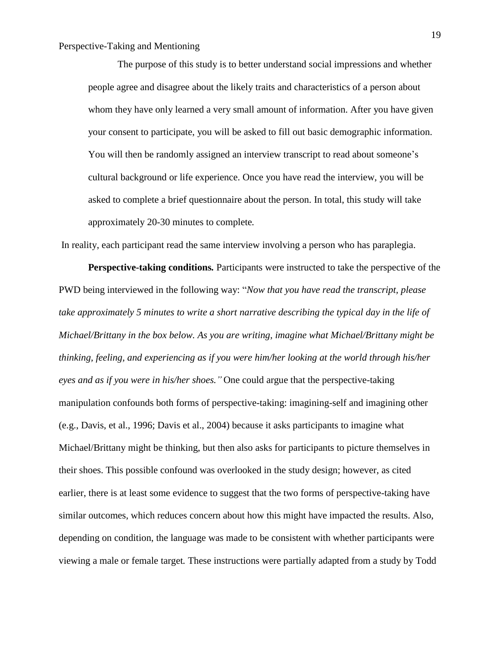The purpose of this study is to better understand social impressions and whether people agree and disagree about the likely traits and characteristics of a person about whom they have only learned a very small amount of information. After you have given your consent to participate, you will be asked to fill out basic demographic information. You will then be randomly assigned an interview transcript to read about someone's cultural background or life experience. Once you have read the interview, you will be asked to complete a brief questionnaire about the person. In total, this study will take approximately 20-30 minutes to complete*.*

In reality, each participant read the same interview involving a person who has paraplegia.

**Perspective-taking conditions***.* Participants were instructed to take the perspective of the PWD being interviewed in the following way: "*Now that you have read the transcript, please take approximately 5 minutes to write a short narrative describing the typical day in the life of Michael/Brittany in the box below. As you are writing, imagine what Michael/Brittany might be thinking, feeling, and experiencing as if you were him/her looking at the world through his/her eyes and as if you were in his/her shoes."* One could argue that the perspective-taking manipulation confounds both forms of perspective-taking: imagining-self and imagining other (e.g., Davis, et al., 1996; Davis et al., 2004) because it asks participants to imagine what Michael/Brittany might be thinking, but then also asks for participants to picture themselves in their shoes. This possible confound was overlooked in the study design; however, as cited earlier, there is at least some evidence to suggest that the two forms of perspective-taking have similar outcomes, which reduces concern about how this might have impacted the results. Also, depending on condition, the language was made to be consistent with whether participants were viewing a male or female target*.* These instructions were partially adapted from a study by Todd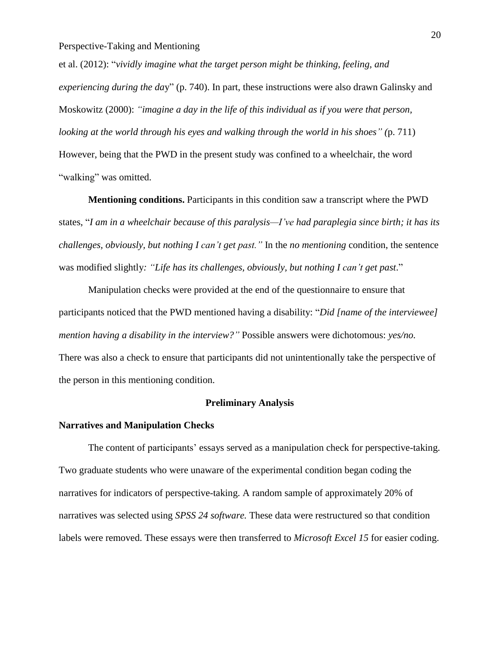et al. (2012): "*vividly imagine what the target person might be thinking, feeling, and experiencing during the da*y" (p. 740). In part, these instructions were also drawn Galinsky and Moskowitz (2000): *"imagine a day in the life of this individual as if you were that person, looking at the world through his eyes and walking through the world in his shoes" (*p. 711) However, being that the PWD in the present study was confined to a wheelchair, the word "walking" was omitted.

**Mentioning conditions.** Participants in this condition saw a transcript where the PWD states, "*I am in a wheelchair because of this paralysis—I've had paraplegia since birth; it has its challenges, obviously, but nothing I can't get past."* In the *no mentioning* condition, the sentence was modified slightly*: "Life has its challenges, obviously, but nothing I can't get past*."

Manipulation checks were provided at the end of the questionnaire to ensure that participants noticed that the PWD mentioned having a disability: "*Did [name of the interviewee] mention having a disability in the interview?"* Possible answers were dichotomous: *yes/no.* There was also a check to ensure that participants did not unintentionally take the perspective of the person in this mentioning condition.

#### **Preliminary Analysis**

#### **Narratives and Manipulation Checks**

The content of participants' essays served as a manipulation check for perspective-taking. Two graduate students who were unaware of the experimental condition began coding the narratives for indicators of perspective-taking. A random sample of approximately 20% of narratives was selected using *SPSS 24 software.* These data were restructured so that condition labels were removed. These essays were then transferred to *Microsoft Excel 15* for easier coding.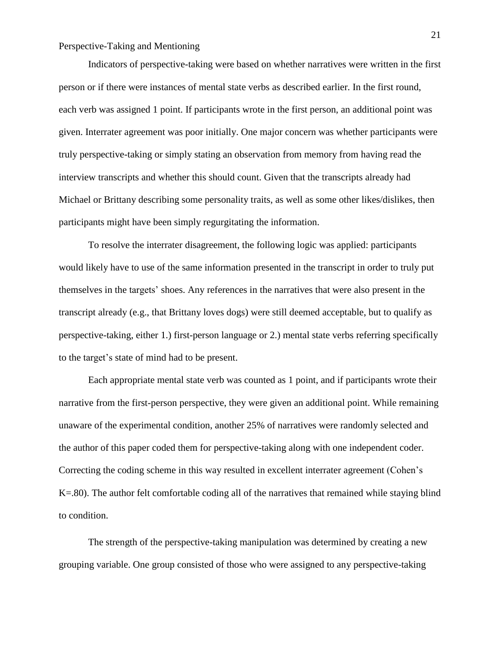Indicators of perspective-taking were based on whether narratives were written in the first person or if there were instances of mental state verbs as described earlier. In the first round, each verb was assigned 1 point. If participants wrote in the first person, an additional point was given. Interrater agreement was poor initially. One major concern was whether participants were truly perspective-taking or simply stating an observation from memory from having read the interview transcripts and whether this should count. Given that the transcripts already had Michael or Brittany describing some personality traits, as well as some other likes/dislikes, then participants might have been simply regurgitating the information.

To resolve the interrater disagreement, the following logic was applied: participants would likely have to use of the same information presented in the transcript in order to truly put themselves in the targets' shoes. Any references in the narratives that were also present in the transcript already (e.g., that Brittany loves dogs) were still deemed acceptable, but to qualify as perspective-taking, either 1.) first-person language or 2.) mental state verbs referring specifically to the target's state of mind had to be present.

Each appropriate mental state verb was counted as 1 point, and if participants wrote their narrative from the first-person perspective, they were given an additional point. While remaining unaware of the experimental condition, another 25% of narratives were randomly selected and the author of this paper coded them for perspective-taking along with one independent coder. Correcting the coding scheme in this way resulted in excellent interrater agreement (Cohen's K=.80). The author felt comfortable coding all of the narratives that remained while staying blind to condition.

The strength of the perspective-taking manipulation was determined by creating a new grouping variable. One group consisted of those who were assigned to any perspective-taking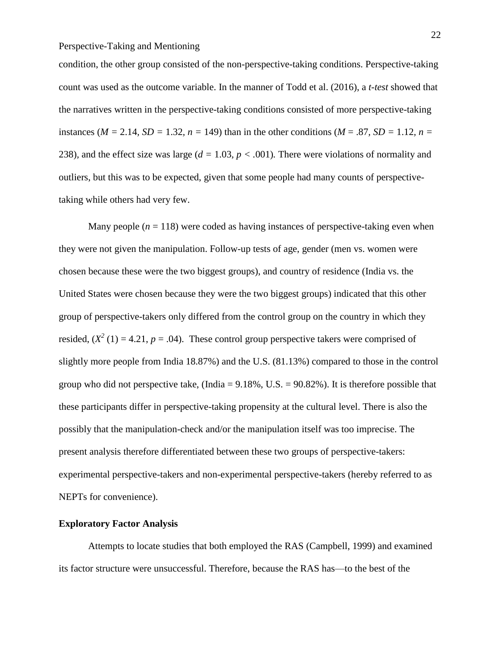condition, the other group consisted of the non-perspective-taking conditions. Perspective-taking count was used as the outcome variable. In the manner of Todd et al. (2016), a *t-test* showed that the narratives written in the perspective-taking conditions consisted of more perspective-taking instances ( $M = 2.14$ ,  $SD = 1.32$ ,  $n = 149$ ) than in the other conditions ( $M = .87$ ,  $SD = 1.12$ ,  $n =$ 238), and the effect size was large ( $d = 1.03$ ,  $p < .001$ ). There were violations of normality and outliers, but this was to be expected, given that some people had many counts of perspectivetaking while others had very few.

Many people  $(n = 118)$  were coded as having instances of perspective-taking even when they were not given the manipulation. Follow-up tests of age, gender (men vs. women were chosen because these were the two biggest groups), and country of residence (India vs. the United States were chosen because they were the two biggest groups) indicated that this other group of perspective-takers only differed from the control group on the country in which they resided,  $(X^2(1) = 4.21, p = .04)$ . These control group perspective takers were comprised of slightly more people from India 18.87%) and the U.S. (81.13%) compared to those in the control group who did not perspective take, (India =  $9.18\%$ , U.S. =  $90.82\%$ ). It is therefore possible that these participants differ in perspective-taking propensity at the cultural level. There is also the possibly that the manipulation-check and/or the manipulation itself was too imprecise. The present analysis therefore differentiated between these two groups of perspective-takers: experimental perspective-takers and non-experimental perspective-takers (hereby referred to as NEPTs for convenience).

#### **Exploratory Factor Analysis**

Attempts to locate studies that both employed the RAS (Campbell, 1999) and examined its factor structure were unsuccessful. Therefore, because the RAS has—to the best of the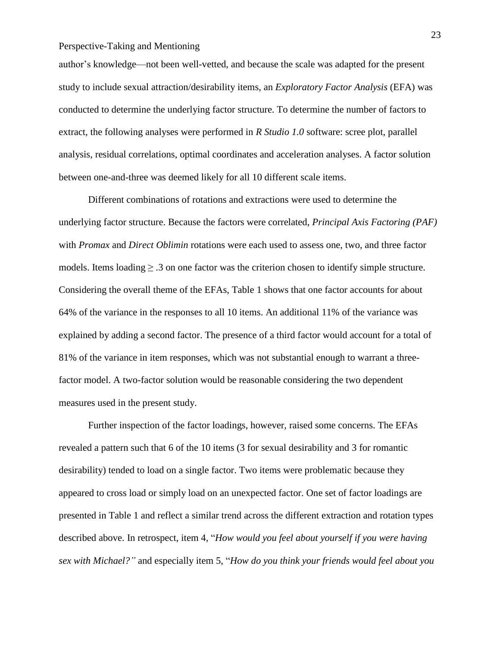author's knowledge—not been well-vetted, and because the scale was adapted for the present study to include sexual attraction/desirability items, an *Exploratory Factor Analysis* (EFA) was conducted to determine the underlying factor structure. To determine the number of factors to extract, the following analyses were performed in *R Studio 1.0* software: scree plot, parallel analysis, residual correlations, optimal coordinates and acceleration analyses. A factor solution between one-and-three was deemed likely for all 10 different scale items.

Different combinations of rotations and extractions were used to determine the underlying factor structure. Because the factors were correlated, *Principal Axis Factoring (PAF)* with *Promax* and *Direct Oblimin* rotations were each used to assess one, two, and three factor models. Items loading  $\geq 0.3$  on one factor was the criterion chosen to identify simple structure. Considering the overall theme of the EFAs, Table 1 shows that one factor accounts for about 64% of the variance in the responses to all 10 items. An additional 11% of the variance was explained by adding a second factor. The presence of a third factor would account for a total of 81% of the variance in item responses, which was not substantial enough to warrant a threefactor model. A two-factor solution would be reasonable considering the two dependent measures used in the present study.

Further inspection of the factor loadings, however, raised some concerns. The EFAs revealed a pattern such that 6 of the 10 items (3 for sexual desirability and 3 for romantic desirability) tended to load on a single factor. Two items were problematic because they appeared to cross load or simply load on an unexpected factor. One set of factor loadings are presented in Table 1 and reflect a similar trend across the different extraction and rotation types described above. In retrospect, item 4, "*How would you feel about yourself if you were having sex with Michael?"* and especially item 5, "*How do you think your friends would feel about you*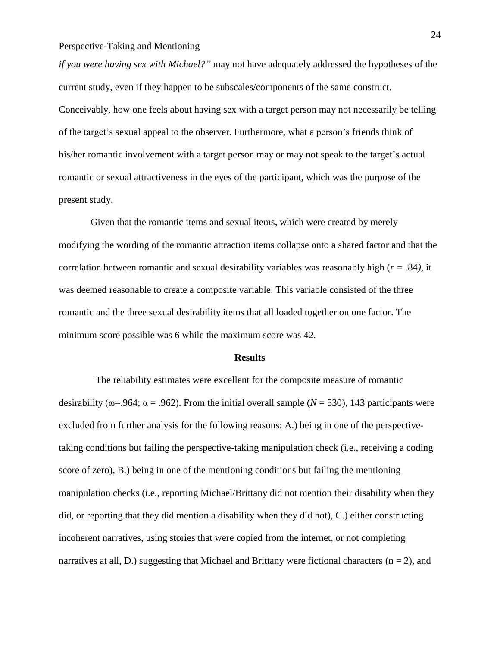*if you were having sex with Michael?"* may not have adequately addressed the hypotheses of the current study, even if they happen to be subscales/components of the same construct. Conceivably, how one feels about having sex with a target person may not necessarily be telling of the target's sexual appeal to the observer. Furthermore, what a person's friends think of his/her romantic involvement with a target person may or may not speak to the target's actual romantic or sexual attractiveness in the eyes of the participant, which was the purpose of the present study.

Given that the romantic items and sexual items, which were created by merely modifying the wording of the romantic attraction items collapse onto a shared factor and that the correlation between romantic and sexual desirability variables was reasonably high (*r = .*84*),* it was deemed reasonable to create a composite variable. This variable consisted of the three romantic and the three sexual desirability items that all loaded together on one factor. The minimum score possible was 6 while the maximum score was 42.

#### **Results**

The reliability estimates were excellent for the composite measure of romantic desirability ( $\omega$ =.964;  $\alpha$  = .962). From the initial overall sample ( $N = 530$ ), 143 participants were excluded from further analysis for the following reasons: A.) being in one of the perspectivetaking conditions but failing the perspective-taking manipulation check (i.e., receiving a coding score of zero), B.) being in one of the mentioning conditions but failing the mentioning manipulation checks (i.e., reporting Michael/Brittany did not mention their disability when they did, or reporting that they did mention a disability when they did not), C.) either constructing incoherent narratives, using stories that were copied from the internet, or not completing narratives at all, D.) suggesting that Michael and Brittany were fictional characters  $(n = 2)$ , and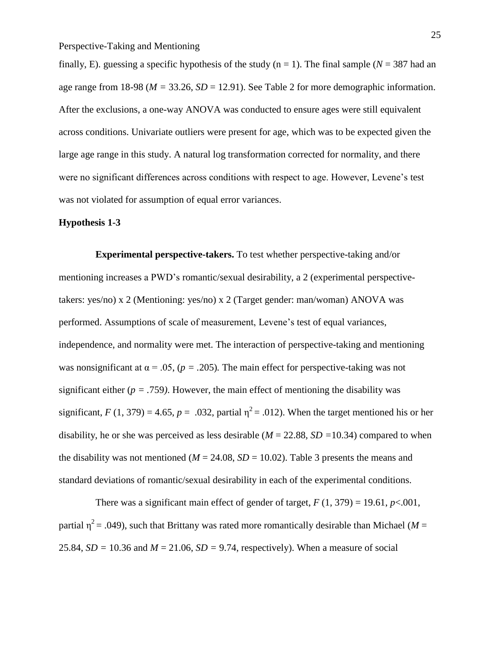finally, E). guessing a specific hypothesis of the study  $(n = 1)$ . The final sample ( $N = 387$  had an age range from 18-98 ( $M = 33.26$ ,  $SD = 12.91$ ). See Table 2 for more demographic information. After the exclusions, a one-way ANOVA was conducted to ensure ages were still equivalent across conditions. Univariate outliers were present for age, which was to be expected given the large age range in this study. A natural log transformation corrected for normality, and there were no significant differences across conditions with respect to age. However, Levene's test was not violated for assumption of equal error variances.

#### **Hypothesis 1-3**

**Experimental perspective-takers.** To test whether perspective-taking and/or mentioning increases a PWD's romantic/sexual desirability, a 2 (experimental perspectivetakers: yes/no) x 2 (Mentioning: yes/no) x 2 (Target gender: man/woman) ANOVA was performed. Assumptions of scale of measurement, Levene's test of equal variances, independence, and normality were met. The interaction of perspective-taking and mentioning was nonsignificant at  $\alpha = 0.05$ , ( $p = 0.205$ ). The main effect for perspective-taking was not significant either ( $p = .759$ ). However, the main effect of mentioning the disability was significant,  $F(1, 379) = 4.65$ ,  $p = .032$ , partial  $\eta^2 = .012$ ). When the target mentioned his or her disability, he or she was perceived as less desirable (*M* = 22.88*, SD =*10.34) compared to when the disability was not mentioned ( $M = 24.08$ ,  $SD = 10.02$ ). Table 3 presents the means and standard deviations of romantic/sexual desirability in each of the experimental conditions.

There was a significant main effect of gender of target,  $F(1, 379) = 19.61$ ,  $p < .001$ , partial  $\eta^2$  = .049), such that Brittany was rated more romantically desirable than Michael (*M* = 25.84,  $SD = 10.36$  and  $M = 21.06$ ,  $SD = 9.74$ , respectively). When a measure of social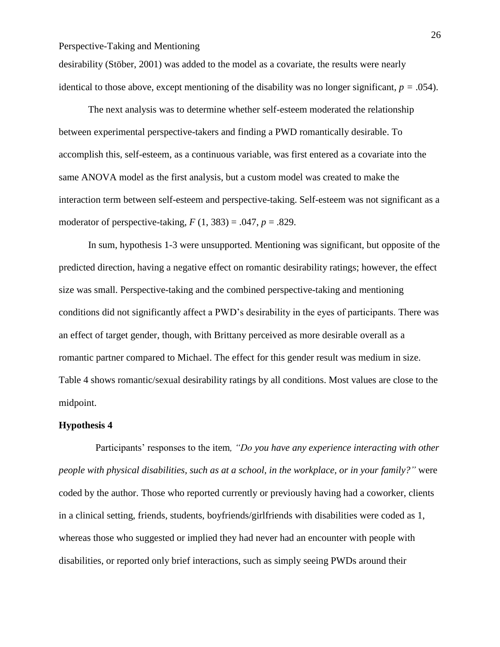desirability (Stöber, 2001) was added to the model as a covariate, the results were nearly identical to those above, except mentioning of the disability was no longer significant,  $p = .054$ ).

The next analysis was to determine whether self-esteem moderated the relationship between experimental perspective-takers and finding a PWD romantically desirable. To accomplish this, self-esteem, as a continuous variable, was first entered as a covariate into the same ANOVA model as the first analysis, but a custom model was created to make the interaction term between self-esteem and perspective-taking. Self-esteem was not significant as a moderator of perspective-taking,  $F(1, 383) = .047$ ,  $p = .829$ .

In sum, hypothesis 1-3 were unsupported. Mentioning was significant, but opposite of the predicted direction, having a negative effect on romantic desirability ratings; however, the effect size was small. Perspective-taking and the combined perspective-taking and mentioning conditions did not significantly affect a PWD's desirability in the eyes of participants. There was an effect of target gender, though, with Brittany perceived as more desirable overall as a romantic partner compared to Michael. The effect for this gender result was medium in size. Table 4 shows romantic/sexual desirability ratings by all conditions. Most values are close to the midpoint.

#### **Hypothesis 4**

Participants' responses to the item*, "Do you have any experience interacting with other people with physical disabilities, such as at a school, in the workplace, or in your family?"* were coded by the author. Those who reported currently or previously having had a coworker, clients in a clinical setting, friends, students, boyfriends/girlfriends with disabilities were coded as 1, whereas those who suggested or implied they had never had an encounter with people with disabilities, or reported only brief interactions, such as simply seeing PWDs around their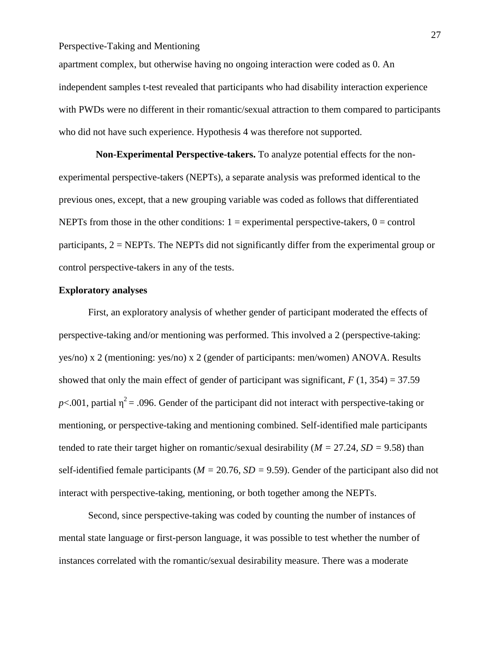apartment complex, but otherwise having no ongoing interaction were coded as 0. An independent samples t-test revealed that participants who had disability interaction experience with PWDs were no different in their romantic/sexual attraction to them compared to participants who did not have such experience. Hypothesis 4 was therefore not supported.

**Non-Experimental Perspective-takers.** To analyze potential effects for the nonexperimental perspective-takers (NEPTs), a separate analysis was preformed identical to the previous ones, except, that a new grouping variable was coded as follows that differentiated NEPTs from those in the other conditions:  $1 =$  experimental perspective-takers,  $0 =$  control participants,  $2 = NEPTs$ . The NEPTs did not significantly differ from the experimental group or control perspective-takers in any of the tests.

#### **Exploratory analyses**

First, an exploratory analysis of whether gender of participant moderated the effects of perspective-taking and/or mentioning was performed. This involved a 2 (perspective-taking: yes/no) x 2 (mentioning: yes/no) x 2 (gender of participants: men/women) ANOVA. Results showed that only the main effect of gender of participant was significant,  $F(1, 354) = 37.59$  $p$ <.001, partial  $\eta^2$  = .096. Gender of the participant did not interact with perspective-taking or mentioning, or perspective-taking and mentioning combined. Self-identified male participants tended to rate their target higher on romantic/sexual desirability (*M =* 27.24*, SD =* 9.58) than self-identified female participants (*M =* 20.76*, SD =* 9.59). Gender of the participant also did not interact with perspective-taking, mentioning, or both together among the NEPTs.

Second, since perspective-taking was coded by counting the number of instances of mental state language or first-person language, it was possible to test whether the number of instances correlated with the romantic/sexual desirability measure. There was a moderate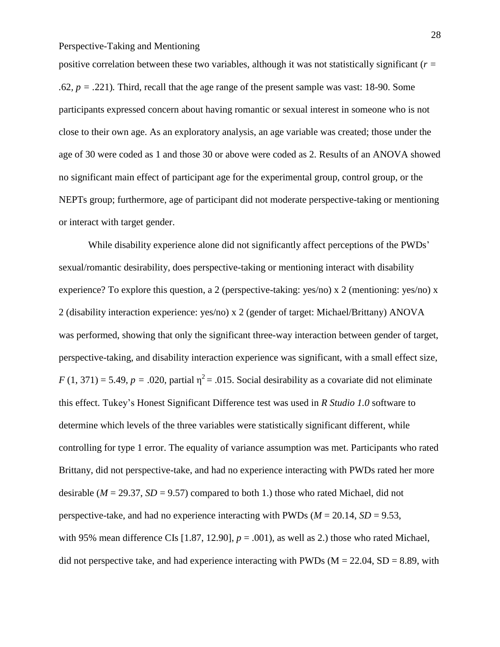positive correlation between these two variables, although it was not statistically significant (*r = .*62*, p = .*221)*.* Third*,* recall that the age range of the present sample was vast: 18-90. Some participants expressed concern about having romantic or sexual interest in someone who is not close to their own age. As an exploratory analysis, an age variable was created; those under the age of 30 were coded as 1 and those 30 or above were coded as 2. Results of an ANOVA showed no significant main effect of participant age for the experimental group, control group, or the NEPTs group; furthermore, age of participant did not moderate perspective-taking or mentioning or interact with target gender.

While disability experience alone did not significantly affect perceptions of the PWDs' sexual/romantic desirability, does perspective-taking or mentioning interact with disability experience? To explore this question, a 2 (perspective-taking: yes/no) x 2 (mentioning: yes/no) x 2 (disability interaction experience: yes/no) x 2 (gender of target: Michael/Brittany) ANOVA was performed, showing that only the significant three-way interaction between gender of target, perspective-taking, and disability interaction experience was significant, with a small effect size,  $F(1, 371) = 5.49$ ,  $p = .020$ , partial  $\eta^2 = .015$ . Social desirability as a covariate did not eliminate this effect. Tukey's Honest Significant Difference test was used in *R Studio 1.0* software to determine which levels of the three variables were statistically significant different, while controlling for type 1 error. The equality of variance assumption was met. Participants who rated Brittany, did not perspective-take, and had no experience interacting with PWDs rated her more desirable ( $M = 29.37$ ,  $SD = 9.57$ ) compared to both 1.) those who rated Michael, did not perspective-take, and had no experience interacting with PWDs ( $M = 20.14$ ,  $SD = 9.53$ , with 95% mean difference CIs [1.87, 12.90],  $p = .001$ ), as well as 2.) those who rated Michael, did not perspective take, and had experience interacting with PWDs ( $M = 22.04$ ,  $SD = 8.89$ , with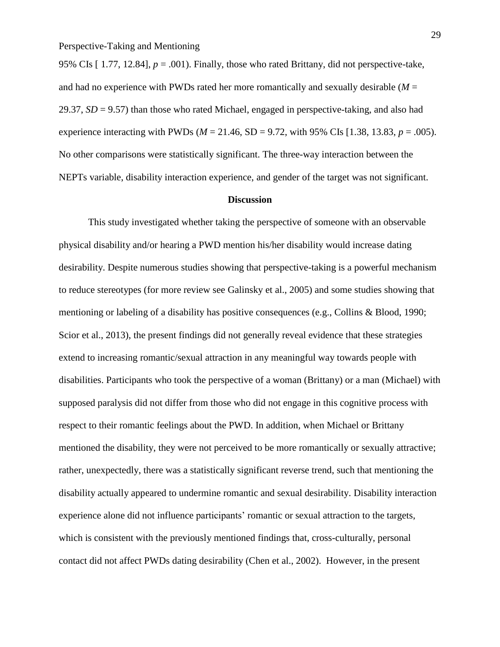95% CIs  $[1.77, 12.84]$ ,  $p = .001$ ). Finally, those who rated Brittany, did not perspective-take, and had no experience with PWDs rated her more romantically and sexually desirable (*M* = 29.37, *SD* = 9.57) than those who rated Michael, engaged in perspective-taking, and also had experience interacting with PWDs ( $M = 21.46$ , SD = 9.72, with 95% CIs [1.38, 13.83,  $p = .005$ ). No other comparisons were statistically significant. The three-way interaction between the NEPTs variable, disability interaction experience, and gender of the target was not significant.

#### **Discussion**

This study investigated whether taking the perspective of someone with an observable physical disability and/or hearing a PWD mention his/her disability would increase dating desirability. Despite numerous studies showing that perspective-taking is a powerful mechanism to reduce stereotypes (for more review see Galinsky et al., 2005) and some studies showing that mentioning or labeling of a disability has positive consequences (e.g., Collins & Blood, 1990; Scior et al., 2013), the present findings did not generally reveal evidence that these strategies extend to increasing romantic/sexual attraction in any meaningful way towards people with disabilities. Participants who took the perspective of a woman (Brittany) or a man (Michael) with supposed paralysis did not differ from those who did not engage in this cognitive process with respect to their romantic feelings about the PWD. In addition, when Michael or Brittany mentioned the disability, they were not perceived to be more romantically or sexually attractive; rather, unexpectedly, there was a statistically significant reverse trend, such that mentioning the disability actually appeared to undermine romantic and sexual desirability. Disability interaction experience alone did not influence participants' romantic or sexual attraction to the targets, which is consistent with the previously mentioned findings that, cross-culturally, personal contact did not affect PWDs dating desirability (Chen et al., 2002). However, in the present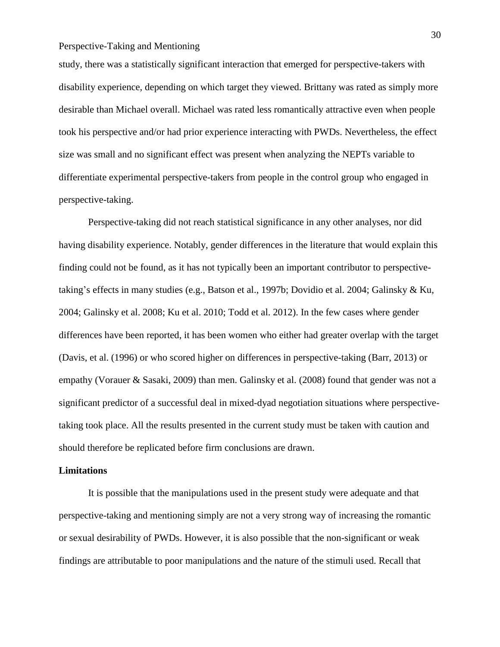study, there was a statistically significant interaction that emerged for perspective-takers with disability experience, depending on which target they viewed. Brittany was rated as simply more desirable than Michael overall. Michael was rated less romantically attractive even when people took his perspective and/or had prior experience interacting with PWDs. Nevertheless, the effect size was small and no significant effect was present when analyzing the NEPTs variable to differentiate experimental perspective-takers from people in the control group who engaged in perspective-taking.

Perspective-taking did not reach statistical significance in any other analyses, nor did having disability experience. Notably, gender differences in the literature that would explain this finding could not be found, as it has not typically been an important contributor to perspectivetaking's effects in many studies (e.g., Batson et al., 1997b; Dovidio et al. 2004; Galinsky & Ku, 2004; Galinsky et al. 2008; Ku et al. 2010; Todd et al. 2012). In the few cases where gender differences have been reported, it has been women who either had greater overlap with the target (Davis, et al. (1996) or who scored higher on differences in perspective-taking (Barr, 2013) or empathy (Vorauer & Sasaki, 2009) than men. Galinsky et al. (2008) found that gender was not a significant predictor of a successful deal in mixed-dyad negotiation situations where perspectivetaking took place. All the results presented in the current study must be taken with caution and should therefore be replicated before firm conclusions are drawn.

#### **Limitations**

It is possible that the manipulations used in the present study were adequate and that perspective-taking and mentioning simply are not a very strong way of increasing the romantic or sexual desirability of PWDs. However, it is also possible that the non-significant or weak findings are attributable to poor manipulations and the nature of the stimuli used. Recall that

30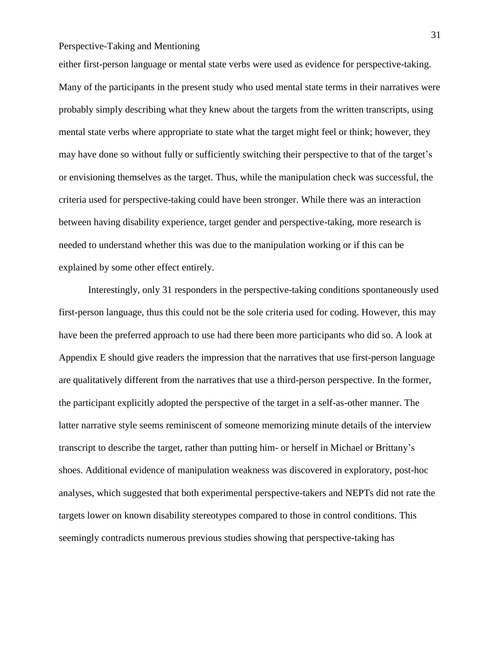either first-person language or mental state verbs were used as evidence for perspective-taking. Many of the participants in the present study who used mental state terms in their narratives were probably simply describing what they knew about the targets from the written transcripts, using mental state verbs where appropriate to state what the target might feel or think; however, they may have done so without fully or sufficiently switching their perspective to that of the target's or envisioning themselves as the target. Thus, while the manipulation check was successful, the criteria used for perspective-taking could have been stronger. While there was an interaction between having disability experience, target gender and perspective-taking, more research is needed to understand whether this was due to the manipulation working or if this can be explained by some other effect entirely.

Interestingly, only 31 responders in the perspective-taking conditions spontaneously used first-person language, thus this could not be the sole criteria used for coding. However, this may have been the preferred approach to use had there been more participants who did so. A look at Appendix E should give readers the impression that the narratives that use first-person language are qualitatively different from the narratives that use a third-person perspective. In the former, the participant explicitly adopted the perspective of the target in a self-as-other manner. The latter narrative style seems reminiscent of someone memorizing minute details of the interview transcript to describe the target, rather than putting him- or herself in Michael or Brittany's shoes. Additional evidence of manipulation weakness was discovered in exploratory, post-hoc analyses, which suggested that both experimental perspective-takers and NEPTs did not rate the targets lower on known disability stereotypes compared to those in control conditions. This seemingly contradicts numerous previous studies showing that perspective-taking has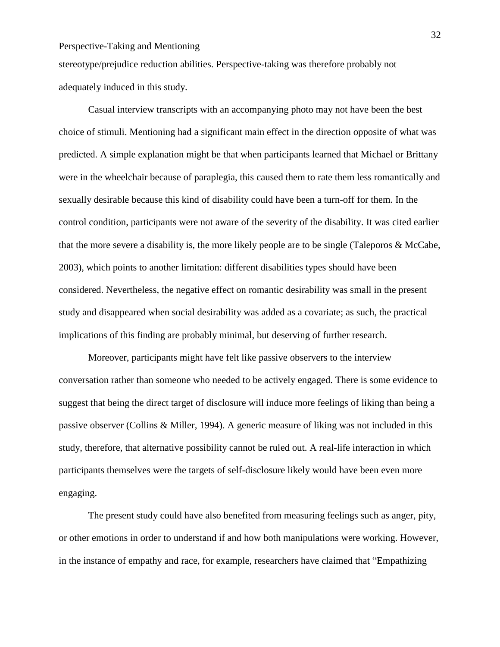stereotype/prejudice reduction abilities. Perspective-taking was therefore probably not adequately induced in this study.

Casual interview transcripts with an accompanying photo may not have been the best choice of stimuli. Mentioning had a significant main effect in the direction opposite of what was predicted. A simple explanation might be that when participants learned that Michael or Brittany were in the wheelchair because of paraplegia, this caused them to rate them less romantically and sexually desirable because this kind of disability could have been a turn-off for them. In the control condition, participants were not aware of the severity of the disability. It was cited earlier that the more severe a disability is, the more likely people are to be single (Taleporos & McCabe, 2003), which points to another limitation: different disabilities types should have been considered. Nevertheless, the negative effect on romantic desirability was small in the present study and disappeared when social desirability was added as a covariate; as such, the practical implications of this finding are probably minimal, but deserving of further research.

Moreover, participants might have felt like passive observers to the interview conversation rather than someone who needed to be actively engaged. There is some evidence to suggest that being the direct target of disclosure will induce more feelings of liking than being a passive observer (Collins & Miller, 1994). A generic measure of liking was not included in this study, therefore, that alternative possibility cannot be ruled out. A real-life interaction in which participants themselves were the targets of self-disclosure likely would have been even more engaging.

The present study could have also benefited from measuring feelings such as anger, pity, or other emotions in order to understand if and how both manipulations were working. However, in the instance of empathy and race, for example, researchers have claimed that "Empathizing

32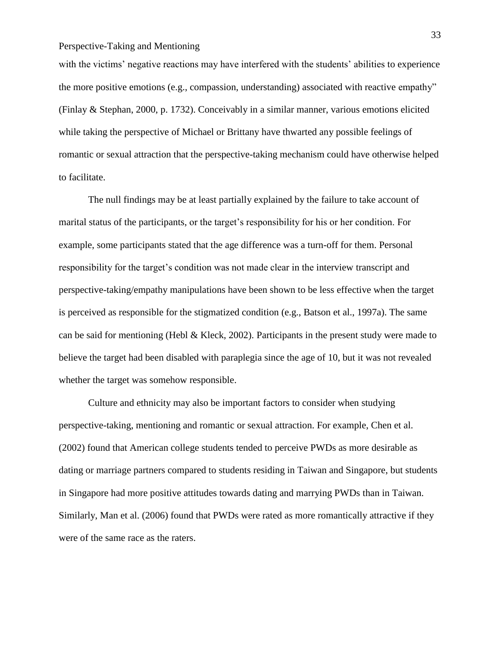with the victims' negative reactions may have interfered with the students' abilities to experience the more positive emotions (e.g., compassion, understanding) associated with reactive empathy" (Finlay & Stephan, 2000, p. 1732). Conceivably in a similar manner, various emotions elicited while taking the perspective of Michael or Brittany have thwarted any possible feelings of romantic or sexual attraction that the perspective-taking mechanism could have otherwise helped to facilitate.

The null findings may be at least partially explained by the failure to take account of marital status of the participants, or the target's responsibility for his or her condition. For example, some participants stated that the age difference was a turn-off for them. Personal responsibility for the target's condition was not made clear in the interview transcript and perspective-taking/empathy manipulations have been shown to be less effective when the target is perceived as responsible for the stigmatized condition (e.g., Batson et al., 1997a). The same can be said for mentioning (Hebl & Kleck, 2002). Participants in the present study were made to believe the target had been disabled with paraplegia since the age of 10, but it was not revealed whether the target was somehow responsible.

Culture and ethnicity may also be important factors to consider when studying perspective-taking, mentioning and romantic or sexual attraction. For example, Chen et al. (2002) found that American college students tended to perceive PWDs as more desirable as dating or marriage partners compared to students residing in Taiwan and Singapore, but students in Singapore had more positive attitudes towards dating and marrying PWDs than in Taiwan. Similarly, Man et al. (2006) found that PWDs were rated as more romantically attractive if they were of the same race as the raters.

33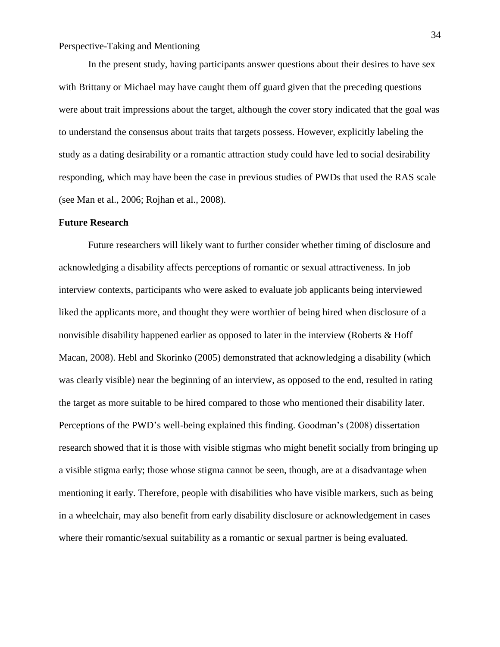In the present study, having participants answer questions about their desires to have sex with Brittany or Michael may have caught them off guard given that the preceding questions were about trait impressions about the target, although the cover story indicated that the goal was to understand the consensus about traits that targets possess. However, explicitly labeling the study as a dating desirability or a romantic attraction study could have led to social desirability responding, which may have been the case in previous studies of PWDs that used the RAS scale (see Man et al., 2006; Rojhan et al., 2008).

#### **Future Research**

Future researchers will likely want to further consider whether timing of disclosure and acknowledging a disability affects perceptions of romantic or sexual attractiveness. In job interview contexts, participants who were asked to evaluate job applicants being interviewed liked the applicants more, and thought they were worthier of being hired when disclosure of a nonvisible disability happened earlier as opposed to later in the interview (Roberts & Hoff Macan, 2008). Hebl and Skorinko (2005) demonstrated that acknowledging a disability (which was clearly visible) near the beginning of an interview, as opposed to the end, resulted in rating the target as more suitable to be hired compared to those who mentioned their disability later. Perceptions of the PWD's well-being explained this finding. Goodman's (2008) dissertation research showed that it is those with visible stigmas who might benefit socially from bringing up a visible stigma early; those whose stigma cannot be seen, though, are at a disadvantage when mentioning it early. Therefore, people with disabilities who have visible markers, such as being in a wheelchair, may also benefit from early disability disclosure or acknowledgement in cases where their romantic/sexual suitability as a romantic or sexual partner is being evaluated.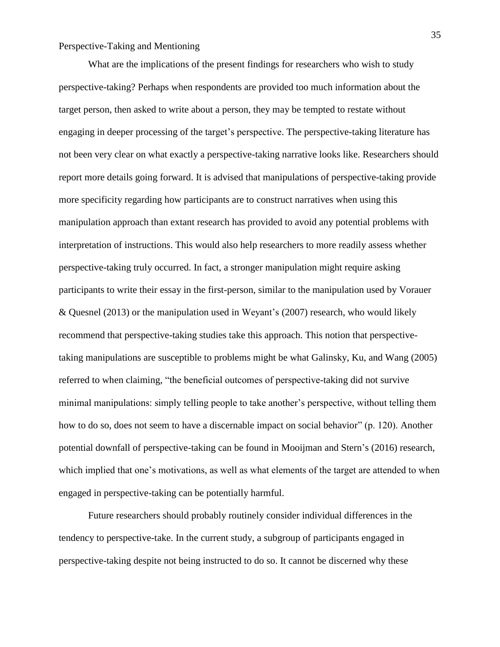What are the implications of the present findings for researchers who wish to study perspective-taking? Perhaps when respondents are provided too much information about the target person, then asked to write about a person, they may be tempted to restate without engaging in deeper processing of the target's perspective. The perspective-taking literature has not been very clear on what exactly a perspective-taking narrative looks like. Researchers should report more details going forward. It is advised that manipulations of perspective-taking provide more specificity regarding how participants are to construct narratives when using this manipulation approach than extant research has provided to avoid any potential problems with interpretation of instructions. This would also help researchers to more readily assess whether perspective-taking truly occurred. In fact, a stronger manipulation might require asking participants to write their essay in the first-person, similar to the manipulation used by Vorauer & Quesnel (2013) or the manipulation used in Weyant's (2007) research, who would likely recommend that perspective-taking studies take this approach. This notion that perspectivetaking manipulations are susceptible to problems might be what Galinsky, Ku, and Wang (2005) referred to when claiming, "the beneficial outcomes of perspective-taking did not survive minimal manipulations: simply telling people to take another's perspective, without telling them how to do so, does not seem to have a discernable impact on social behavior" (p. 120). Another potential downfall of perspective-taking can be found in Mooijman and Stern's (2016) research, which implied that one's motivations, as well as what elements of the target are attended to when engaged in perspective-taking can be potentially harmful.

Future researchers should probably routinely consider individual differences in the tendency to perspective-take. In the current study, a subgroup of participants engaged in perspective-taking despite not being instructed to do so. It cannot be discerned why these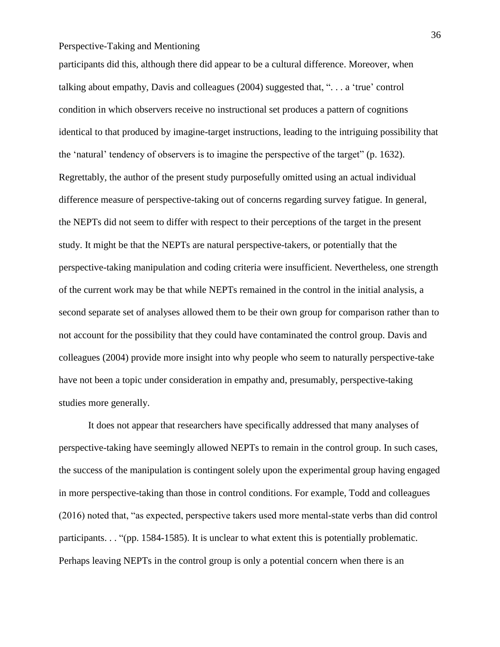participants did this, although there did appear to be a cultural difference. Moreover, when talking about empathy, Davis and colleagues (2004) suggested that, ". . . a 'true' control condition in which observers receive no instructional set produces a pattern of cognitions identical to that produced by imagine-target instructions, leading to the intriguing possibility that the 'natural' tendency of observers is to imagine the perspective of the target" (p. 1632). Regrettably, the author of the present study purposefully omitted using an actual individual difference measure of perspective-taking out of concerns regarding survey fatigue. In general, the NEPTs did not seem to differ with respect to their perceptions of the target in the present study. It might be that the NEPTs are natural perspective-takers, or potentially that the perspective-taking manipulation and coding criteria were insufficient. Nevertheless, one strength of the current work may be that while NEPTs remained in the control in the initial analysis, a second separate set of analyses allowed them to be their own group for comparison rather than to not account for the possibility that they could have contaminated the control group. Davis and colleagues (2004) provide more insight into why people who seem to naturally perspective-take have not been a topic under consideration in empathy and, presumably, perspective-taking studies more generally.

It does not appear that researchers have specifically addressed that many analyses of perspective-taking have seemingly allowed NEPTs to remain in the control group. In such cases, the success of the manipulation is contingent solely upon the experimental group having engaged in more perspective-taking than those in control conditions. For example, Todd and colleagues (2016) noted that, "as expected, perspective takers used more mental-state verbs than did control participants. . . "(pp. 1584-1585). It is unclear to what extent this is potentially problematic. Perhaps leaving NEPTs in the control group is only a potential concern when there is an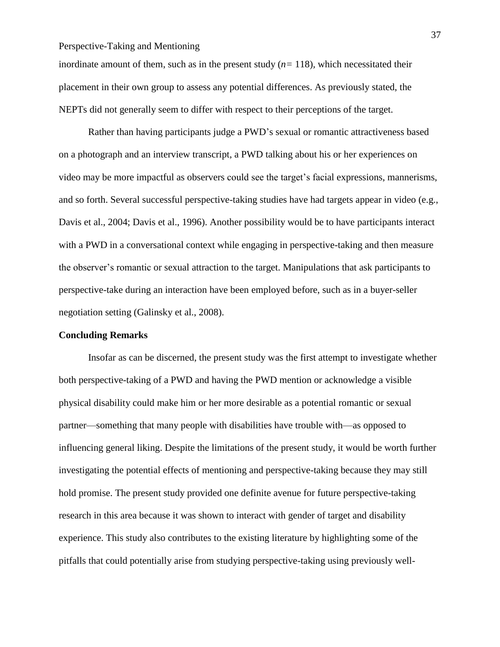inordinate amount of them, such as in the present study (*n=* 118)*,* which necessitated their placement in their own group to assess any potential differences. As previously stated, the NEPTs did not generally seem to differ with respect to their perceptions of the target.

Rather than having participants judge a PWD's sexual or romantic attractiveness based on a photograph and an interview transcript, a PWD talking about his or her experiences on video may be more impactful as observers could see the target's facial expressions, mannerisms, and so forth. Several successful perspective-taking studies have had targets appear in video (e.g., Davis et al., 2004; Davis et al., 1996). Another possibility would be to have participants interact with a PWD in a conversational context while engaging in perspective-taking and then measure the observer's romantic or sexual attraction to the target. Manipulations that ask participants to perspective-take during an interaction have been employed before, such as in a buyer-seller negotiation setting (Galinsky et al., 2008).

#### **Concluding Remarks**

Insofar as can be discerned, the present study was the first attempt to investigate whether both perspective-taking of a PWD and having the PWD mention or acknowledge a visible physical disability could make him or her more desirable as a potential romantic or sexual partner—something that many people with disabilities have trouble with—as opposed to influencing general liking. Despite the limitations of the present study, it would be worth further investigating the potential effects of mentioning and perspective-taking because they may still hold promise. The present study provided one definite avenue for future perspective-taking research in this area because it was shown to interact with gender of target and disability experience. This study also contributes to the existing literature by highlighting some of the pitfalls that could potentially arise from studying perspective-taking using previously well-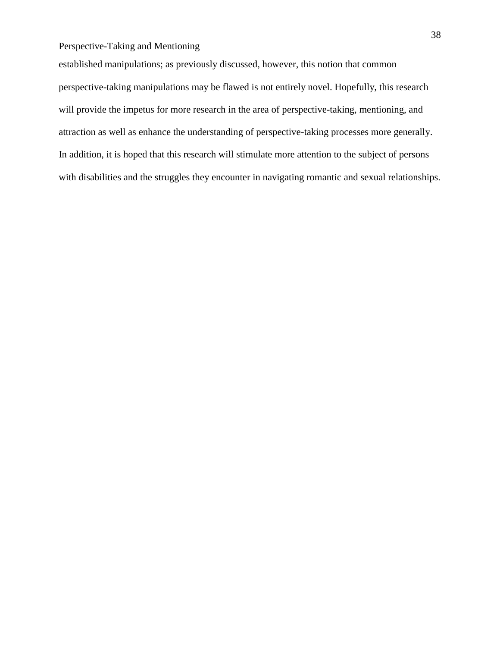established manipulations; as previously discussed, however, this notion that common perspective-taking manipulations may be flawed is not entirely novel. Hopefully, this research will provide the impetus for more research in the area of perspective-taking, mentioning, and attraction as well as enhance the understanding of perspective-taking processes more generally. In addition, it is hoped that this research will stimulate more attention to the subject of persons with disabilities and the struggles they encounter in navigating romantic and sexual relationships.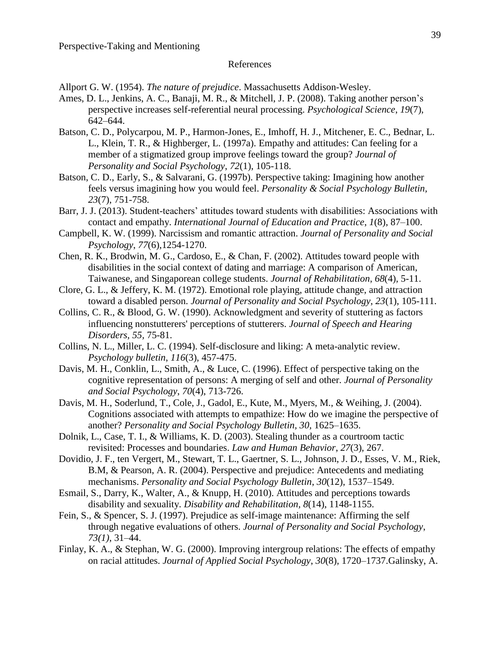#### References

Allport G. W. (1954). *The nature of prejudice*. Massachusetts Addison-Wesley.

- Ames, D. L., Jenkins, A. C., Banaji, M. R., & Mitchell, J. P. (2008). Taking another person's perspective increases self-referential neural processing. *Psychological Science*, *19*(7), 642–644.
- Batson, C. D., Polycarpou, M. P., Harmon-Jones, E., Imhoff, H. J., Mitchener, E. C., Bednar, L. L., Klein, T. R., & Highberger, L. (1997a). Empathy and attitudes: Can feeling for a member of a stigmatized group improve feelings toward the group? *Journal of Personality and Social Psychology*, *72*(1), 105-118.
- Batson, C. D., Early, S., & Salvarani, G. (1997b). Perspective taking: Imagining how another feels versus imagining how you would feel. *Personality & Social Psychology Bulletin, 23*(7), 751-758.
- Barr, J. J. (2013). Student-teachers' attitudes toward students with disabilities: Associations with contact and empathy. *International Journal of Education and Practice*, *1*(8), 87–100.
- Campbell, K. W. (1999). Narcissism and romantic attraction. *Journal of Personality and Social Psychology*, *77*(6),1254-1270.
- Chen, R. K., Brodwin, M. G., Cardoso, E., & Chan, F. (2002). Attitudes toward people with disabilities in the social context of dating and marriage: A comparison of American, Taiwanese, and Singaporean college students. *Journal of Rehabilitation*, *68*(4), 5-11.
- Clore, G. L., & Jeffery, K. M. (1972). Emotional role playing, attitude change, and attraction toward a disabled person. *Journal of Personality and Social Psychology*, *23*(1), 105-111.
- Collins, C. R., & Blood, G. W. (1990). Acknowledgment and severity of stuttering as factors influencing nonstutterers' perceptions of stutterers. *Journal of Speech and Hearing Disorders, 55,* 75-81.
- Collins, N. L., Miller, L. C. (1994). Self-disclosure and liking: A meta-analytic review. *Psychology bulletin*, *116*(3), 457-475.
- Davis, M. H., Conklin, L., Smith, A., & Luce, C. (1996). Effect of perspective taking on the cognitive representation of persons: A merging of self and other. *Journal of Personality and Social Psychology*, *70*(4), 713-726.
- Davis, M. H., Soderlund, T., Cole, J., Gadol, E., Kute, M., Myers, M., & Weihing, J. (2004). Cognitions associated with attempts to empathize: How do we imagine the perspective of another? *Personality and Social Psychology Bulletin, 30,* 1625–1635.
- Dolnik, L., Case, T. I., & Williams, K. D. (2003). Stealing thunder as a courtroom tactic revisited: Processes and boundaries. *Law and Human Behavior*, *27*(3), 267.
- Dovidio, J. F., ten Vergert, M., Stewart, T. L., Gaertner, S. L., Johnson, J. D., Esses, V. M., Riek, B.M, & Pearson, A. R. (2004). Perspective and prejudice: Antecedents and mediating mechanisms. *Personality and Social Psychology Bulletin*, *30*(12), 1537–1549.
- Esmail, S., Darry, K., Walter, A., & Knupp, H. (2010). Attitudes and perceptions towards disability and sexuality. *Disability and Rehabilitation, 8*(14), 1148-1155.
- Fein, S., & Spencer, S. J. (1997). Prejudice as self-image maintenance: Affirming the self through negative evaluations of others. *Journal of Personality and Social Psychology*, *73(1)*, 31–44.
- Finlay, K. A., & Stephan, W. G. (2000). Improving intergroup relations: The effects of empathy on racial attitudes. *Journal of Applied Social Psychology*, *30*(8), 1720–1737.Galinsky, A.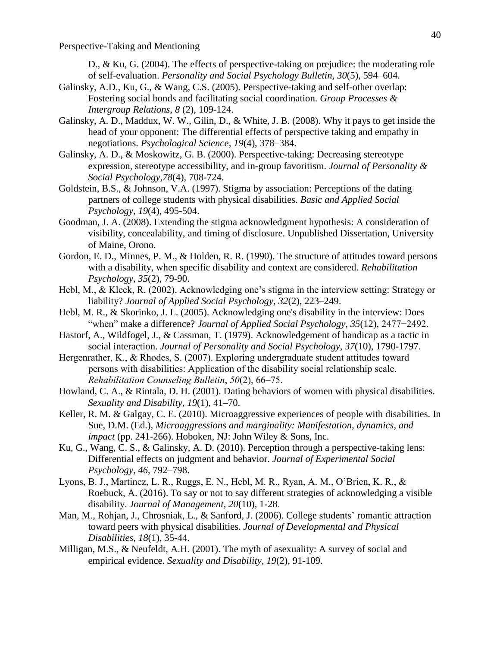D., & Ku, G. (2004). The effects of perspective-taking on prejudice: the moderating role of self-evaluation. *Personality and Social Psychology Bulletin*, *30*(5), 594–604.

- Galinsky, A.D., Ku, G., & Wang, C.S. (2005). Perspective-taking and self-other overlap: Fostering social bonds and facilitating social coordination. *Group Processes & Intergroup Relations, 8* (2), 109-124.
- Galinsky, A. D., Maddux, W. W., Gilin, D., & White, J. B. (2008). Why it pays to get inside the head of your opponent: The differential effects of perspective taking and empathy in negotiations. *Psychological Science*, *19*(4), 378–384.
- Galinsky, A. D., & Moskowitz, G. B. (2000). Perspective-taking: Decreasing stereotype expression, stereotype accessibility, and in-group favoritism. *Journal of Personality & Social Psychology,78*(4), 708-724.
- Goldstein, B.S., & Johnson, V.A. (1997). Stigma by association: Perceptions of the dating partners of college students with physical disabilities. *Basic and Applied Social Psychology, 19*(4), 495-504.
- Goodman, J. A. (2008). Extending the stigma acknowledgment hypothesis: A consideration of visibility, concealability, and timing of disclosure. Unpublished Dissertation, University of Maine, Orono.
- Gordon, E. D., Minnes, P. M., & Holden, R. R. (1990). The structure of attitudes toward persons with a disability, when specific disability and context are considered. *Rehabilitation Psychology*, *35*(2), 79-90.
- Hebl, M., & Kleck, R. (2002). Acknowledging one's stigma in the interview setting: Strategy or liability? *Journal of Applied Social Psychology*, *32*(2), 223–249.
- Hebl, M. R., & Skorinko, J. L. (2005). Acknowledging one's disability in the interview: Does "when" make a difference? *Journal of Applied Social Psychology*, *35*(12), 2477−2492.
- Hastorf, A., Wildfogel, J., & Cassman, T. (1979). Acknowledgement of handicap as a tactic in social interaction. *Journal of Personality and Social Psychology*, *37*(10), 1790-1797.
- Hergenrather, K., & Rhodes, S. (2007). Exploring undergraduate student attitudes toward persons with disabilities: Application of the disability social relationship scale. *Rehabilitation Counseling Bulletin*, *50*(2), 66–75.
- Howland, C. A., & Rintala, D. H. (2001). Dating behaviors of women with physical disabilities. *Sexuality and Disability*, *19*(1), 41–70.
- Keller, R. M. & Galgay, C. E. (2010). Microaggressive experiences of people with disabilities. In Sue, D.M. (Ed.), *Microaggressions and marginality: Manifestation, dynamics, and impact* (pp. 241-266). Hoboken, NJ: John Wiley & Sons, Inc.
- Ku, G., Wang, C. S., & Galinsky, A. D. (2010). Perception through a perspective-taking lens: Differential effects on judgment and behavior. *Journal of Experimental Social Psychology*, *46*, 792–798.
- Lyons, B. J., Martinez, L. R., Ruggs, E. N., Hebl, M. R., Ryan, A. M., O'Brien, K. R., & Roebuck, A. (2016). To say or not to say different strategies of acknowledging a visible disability. *Journal of Management*, *20*(10), 1-28.
- Man, M., Rohjan, J., Chrosniak, L., & Sanford, J. (2006). College students' romantic attraction toward peers with physical disabilities. *Journal of Developmental and Physical Disabilities, 18*(1), 35-44.
- Milligan, M.S., & Neufeldt, A.H. (2001). The myth of asexuality: A survey of social and empirical evidence. *Sexuality and Disability, 19*(2), 91-109.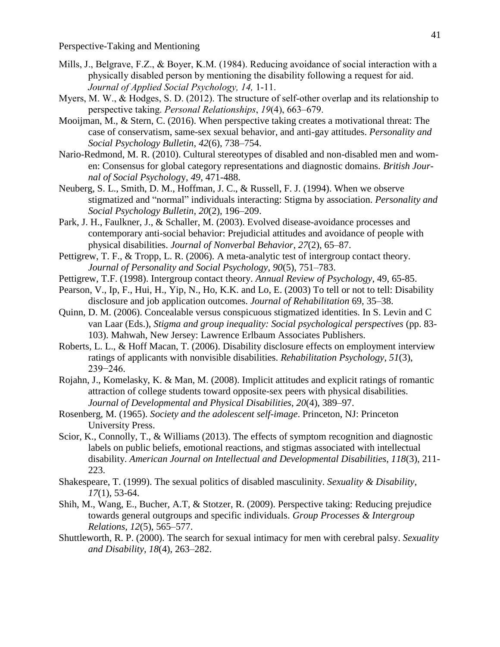- Mills, J., Belgrave, F.Z., & Boyer, K.M. (1984). Reducing avoidance of social interaction with a physically disabled person by mentioning the disability following a request for aid. *Journal of Applied Social Psychology, 14,* 1-11.
- Myers, M. W., & Hodges, S. D. (2012). The structure of self-other overlap and its relationship to perspective taking. *Personal Relationships*, *19*(4), 663–679.
- Mooijman, M., & Stern, C. (2016). When perspective taking creates a motivational threat: The case of conservatism, same-sex sexual behavior, and anti-gay attitudes. *Personality and Social Psychology Bulletin*, *42*(6), 738–754.
- Nario-Redmond, M. R. (2010). Cultural stereotypes of disabled and non-disabled men and women: Consensus for global category representations and diagnostic domains. *British Journal of Social Psycholog*y, *49,* 471-488.
- Neuberg, S. L., Smith, D. M., Hoffman, J. C., & Russell, F. J. (1994). When we observe stigmatized and "normal" individuals interacting: Stigma by association. *Personality and Social Psychology Bulletin, 20*(2), 196–209.
- Park, J. H., Faulkner, J., & Schaller, M. (2003). Evolved disease-avoidance processes and contemporary anti-social behavior: Prejudicial attitudes and avoidance of people with physical disabilities. *Journal of Nonverbal Behavior*, *27*(2), 65–87.
- Pettigrew, T. F., & Tropp, L. R. (2006). A meta-analytic test of intergroup contact theory. *Journal of Personality and Social Psychology*, *90*(5), 751–783.
- Pettigrew, T.F. (1998). Intergroup contact theory. *Annual Review of Psychology*, 49, 65-85.
- Pearson, V., Ip, F., Hui, H., Yip, N., Ho, K.K. and Lo, E. (2003) To tell or not to tell: Disability disclosure and job application outcomes. *Journal of Rehabilitation* 69, 35–38.
- Quinn, D. M. (2006). Concealable versus conspicuous stigmatized identities. In S. Levin and C van Laar (Eds.), *Stigma and group inequality: Social psychological perspectives* (pp. 83- 103). Mahwah, New Jersey: Lawrence Erlbaum Associates Publishers.
- Roberts, L. L., & Hoff Macan, T. (2006). Disability disclosure effects on employment interview ratings of applicants with nonvisible disabilities. *Rehabilitation Psychology*, *51*(3), 239−246.
- Rojahn, J., Komelasky, K. & Man, M. (2008). Implicit attitudes and explicit ratings of romantic attraction of college students toward opposite-sex peers with physical disabilities. *Journal of Developmental and Physical Disabilities*, *20*(4), 389–97.
- Rosenberg, M. (1965). *Society and the adolescent self-image*. Princeton, NJ: Princeton University Press.
- Scior, K., Connolly, T., & Williams (2013). The effects of symptom recognition and diagnostic labels on public beliefs, emotional reactions, and stigmas associated with intellectual disability. *American Journal on Intellectual and Developmental Disabilities*, *118*(3), 211- 223.
- Shakespeare, T. (1999). The sexual politics of disabled masculinity. *Sexuality & Disability, 17*(1), 53-64.
- Shih, M., Wang, E., Bucher, A.T, & Stotzer, R. (2009). Perspective taking: Reducing prejudice towards general outgroups and specific individuals. *Group Processes & Intergroup Relations*, *12*(5), 565–577.
- Shuttleworth, R. P. (2000). The search for sexual intimacy for men with cerebral palsy. *Sexuality and Disability*, *18*(4), 263–282.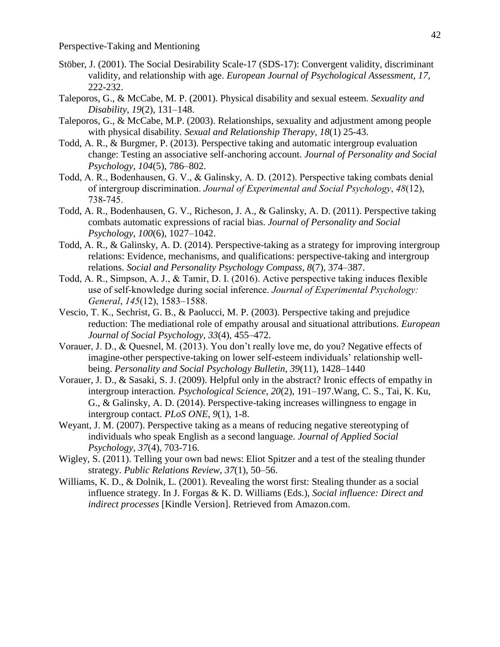- Stöber, J. (2001). The Social Desirability Scale-17 (SDS-17): Convergent validity, discriminant validity, and relationship with age. *European Journal of Psychological Assessment, 17,* 222-232.
- Taleporos, G., & McCabe, M. P. (2001). Physical disability and sexual esteem. *Sexuality and Disability*, *19*(2), 131–148.
- Taleporos, G., & McCabe, M.P. (2003). Relationships, sexuality and adjustment among people with physical disability. *Sexual and Relationship Therapy, 18*(1) 25-43.
- Todd, A. R., & Burgmer, P. (2013). Perspective taking and automatic intergroup evaluation change: Testing an associative self-anchoring account. *Journal of Personality and Social Psychology*, *104*(5), 786–802.
- Todd, A. R., Bodenhausen, G. V., & Galinsky, A. D. (2012). Perspective taking combats denial of intergroup discrimination. *Journal of Experimental and Social Psychology*, *48*(12), 738-745.
- Todd, A. R., Bodenhausen, G. V., Richeson, J. A., & Galinsky, A. D. (2011). Perspective taking combats automatic expressions of racial bias. *Journal of Personality and Social Psychology*, *100*(6), 1027–1042.
- Todd, A. R., & Galinsky, A. D. (2014). Perspective-taking as a strategy for improving intergroup relations: Evidence, mechanisms, and qualifications: perspective-taking and intergroup relations. *Social and Personality Psychology Compass*, *8*(7), 374–387.
- Todd, A. R., Simpson, A. J., & Tamir, D. I. (2016). Active perspective taking induces flexible use of self-knowledge during social inference. *Journal of Experimental Psychology: General*, *145*(12), 1583–1588.
- Vescio, T. K., Sechrist, G. B., & Paolucci, M. P. (2003). Perspective taking and prejudice reduction: The mediational role of empathy arousal and situational attributions. *European Journal of Social Psychology*, *33*(4), 455–472.
- Vorauer, J. D., & Quesnel, M. (2013). You don't really love me, do you? Negative effects of imagine-other perspective-taking on lower self-esteem individuals' relationship wellbeing. *Personality and Social Psychology Bulletin*, *39*(11), 1428–1440
- Vorauer, J. D., & Sasaki, S. J. (2009). Helpful only in the abstract? Ironic effects of empathy in intergroup interaction. *Psychological Science*, *20*(2), 191–197.Wang, C. S., Tai, K. Ku, G., & Galinsky, A. D. (2014). Perspective-taking increases willingness to engage in intergroup contact. *PLoS ONE*, *9*(1), 1-8.
- Weyant, J. M. (2007). Perspective taking as a means of reducing negative stereotyping of individuals who speak English as a second language. *Journal of Applied Social Psychology, 37*(4), 703-716.
- Wigley, S. (2011). Telling your own bad news: Eliot Spitzer and a test of the stealing thunder strategy. *Public Relations Review*, *37*(1), 50–56.
- Williams, K. D., & Dolnik, L. (2001). Revealing the worst first: Stealing thunder as a social influence strategy. In J. Forgas & K. D. Williams (Eds.), *Social influence: Direct and indirect processes* [Kindle Version]. Retrieved from Amazon.com.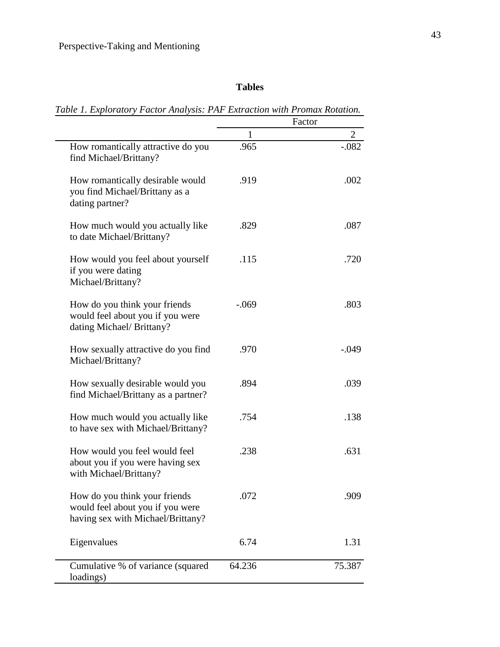# **Tables**

*Table 1. Exploratory Factor Analysis: PAF Extraction with Promax Rotation.*

|                                                                                                        | Factor  |                |
|--------------------------------------------------------------------------------------------------------|---------|----------------|
|                                                                                                        | 1       | $\overline{2}$ |
| How romantically attractive do you<br>find Michael/Brittany?                                           | .965    | $-.082$        |
| How romantically desirable would<br>you find Michael/Brittany as a<br>dating partner?                  | .919    | .002           |
| How much would you actually like<br>to date Michael/Brittany?                                          | .829    | .087           |
| How would you feel about yourself<br>if you were dating<br>Michael/Brittany?                           | .115    | .720           |
| How do you think your friends<br>would feel about you if you were<br>dating Michael/Brittany?          | $-.069$ | .803           |
| How sexually attractive do you find<br>Michael/Brittany?                                               | .970    | $-.049$        |
| How sexually desirable would you<br>find Michael/Brittany as a partner?                                | .894    | .039           |
| How much would you actually like<br>to have sex with Michael/Brittany?                                 | .754    | .138           |
| How would you feel would feel<br>about you if you were having sex<br>with Michael/Brittany?            | .238    | .631           |
| How do you think your friends<br>would feel about you if you were<br>having sex with Michael/Brittany? | .072    | .909           |
| Eigenvalues                                                                                            | 6.74    | 1.31           |
| Cumulative % of variance (squared<br>loadings)                                                         | 64.236  | 75.387         |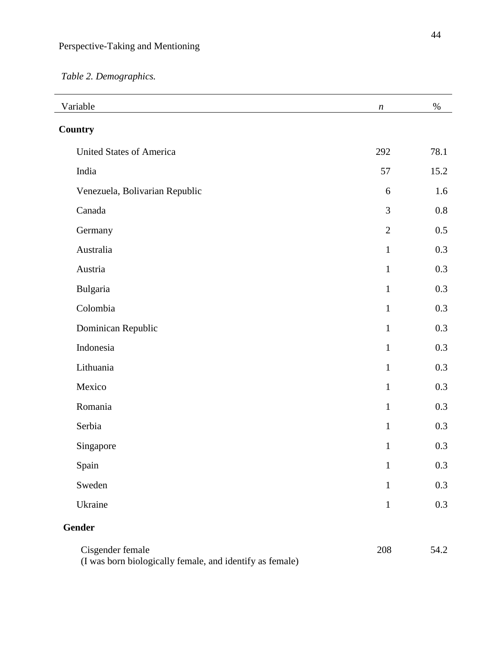*Table 2. Demographics.*

| Variable                                                                   | $\boldsymbol{n}$ | $\%$    |  |
|----------------------------------------------------------------------------|------------------|---------|--|
| <b>Country</b>                                                             |                  |         |  |
| <b>United States of America</b>                                            | 292              | 78.1    |  |
| India                                                                      | 57               | 15.2    |  |
| Venezuela, Bolivarian Republic                                             | 6                | 1.6     |  |
| Canada                                                                     | 3                | 0.8     |  |
| Germany                                                                    | $\sqrt{2}$       | $0.5\,$ |  |
| Australia                                                                  | $\mathbf{1}$     | 0.3     |  |
| Austria                                                                    | $\mathbf{1}$     | 0.3     |  |
| Bulgaria                                                                   | $\mathbf{1}$     | 0.3     |  |
| Colombia                                                                   | $\mathbf{1}$     | 0.3     |  |
| Dominican Republic                                                         | $\mathbf{1}$     | 0.3     |  |
| Indonesia                                                                  | $\mathbf{1}$     | 0.3     |  |
| Lithuania                                                                  | $\mathbf{1}$     | 0.3     |  |
| Mexico                                                                     | $\mathbf{1}$     | 0.3     |  |
| Romania                                                                    | $\mathbf{1}$     | 0.3     |  |
| Serbia                                                                     | $\mathbf{1}$     | 0.3     |  |
| Singapore                                                                  | $\mathbf{1}$     | 0.3     |  |
| Spain                                                                      | $\mathbf{1}$     | 0.3     |  |
| Sweden                                                                     | $\mathbf{1}$     | 0.3     |  |
| Ukraine                                                                    | $\mathbf{1}$     | 0.3     |  |
| Gender                                                                     |                  |         |  |
| Cisgender female<br>(Lyes born biologically famale and identify as famale) | 208              | 54.2    |  |

(I was born biologically female, and identify as female)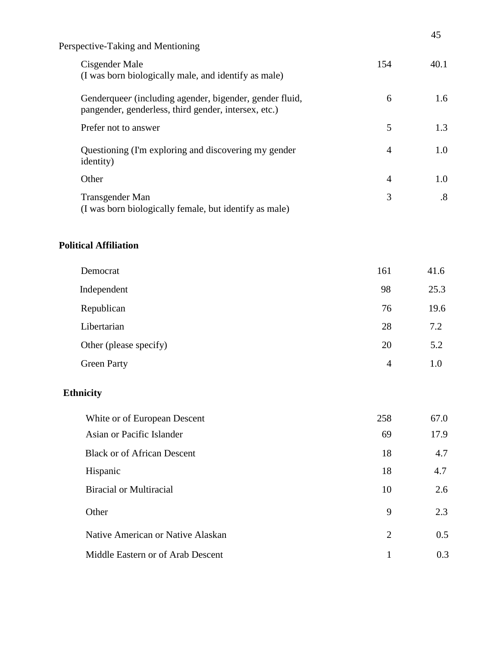|     | ᠇৴                |
|-----|-------------------|
| 154 | 40.1              |
| 6   | 1.6               |
| 5   | 1.3               |
| 4   | 1.0               |
| 4   | 1.0               |
| 3   | $\boldsymbol{.8}$ |
|     |                   |

## **Political Affiliation**

| Democrat               | 161            | 41.6 |
|------------------------|----------------|------|
| Independent            | 98             | 25.3 |
| Republican             | 76             | 19.6 |
| Libertarian            | 28             | 7.2  |
| Other (please specify) | 20             | 5.2  |
| <b>Green Party</b>     | $\overline{4}$ | 1.0  |

# **Ethnicity**

| White or of European Descent       | 258 | 67.0 |
|------------------------------------|-----|------|
| Asian or Pacific Islander          | 69  | 17.9 |
| <b>Black or of African Descent</b> | 18  | 4.7  |
| Hispanic                           | 18  | 4.7  |
| <b>Biracial or Multiracial</b>     | 10  | 2.6  |
| Other                              | 9   | 2.3  |
| Native American or Native Alaskan  | 2   | 0.5  |
| Middle Eastern or of Arab Descent  |     | 0.3  |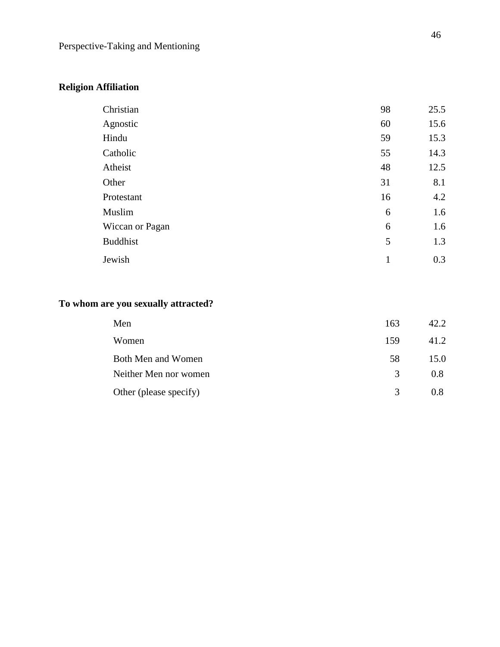# **Religion Affiliation**

| Christian       | 98           | 25.5 |
|-----------------|--------------|------|
| Agnostic        | 60           | 15.6 |
| Hindu           | 59           | 15.3 |
| Catholic        | 55           | 14.3 |
| Atheist         | 48           | 12.5 |
| Other           | 31           | 8.1  |
| Protestant      | 16           | 4.2  |
| Muslim          | 6            | 1.6  |
| Wiccan or Pagan | 6            | 1.6  |
| <b>Buddhist</b> | 5            | 1.3  |
| Jewish          | $\mathbf{1}$ | 0.3  |

# **To whom are you sexually attracted?**

| Men                    | 163           | 42.2 |
|------------------------|---------------|------|
| Women                  | 159           | 41.2 |
| Both Men and Women     | 58            | 15.0 |
| Neither Men nor women  | $\mathcal{R}$ | 0.8  |
| Other (please specify) | $\mathcal{R}$ | 0.8  |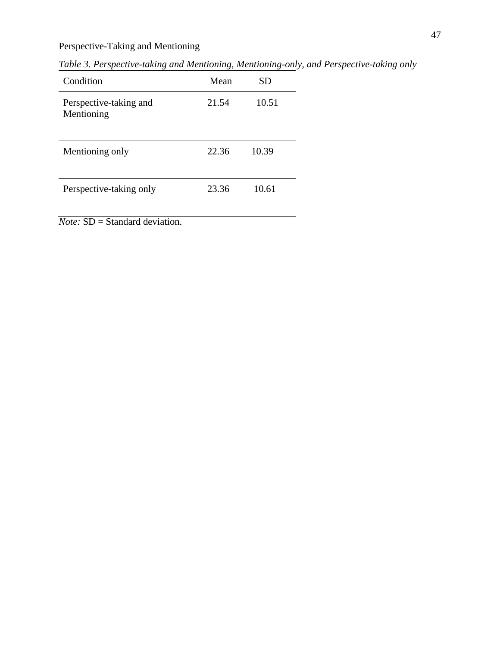*Table 3. Perspective-taking and Mentioning, Mentioning-only, and Perspective-taking only*

| Condition                            | Mean  | SD    |
|--------------------------------------|-------|-------|
| Perspective-taking and<br>Mentioning | 21.54 | 10.51 |
| Mentioning only                      | 22.36 | 10.39 |
| Perspective-taking only              | 23.36 | 10.61 |

*Note:* SD = Standard deviation.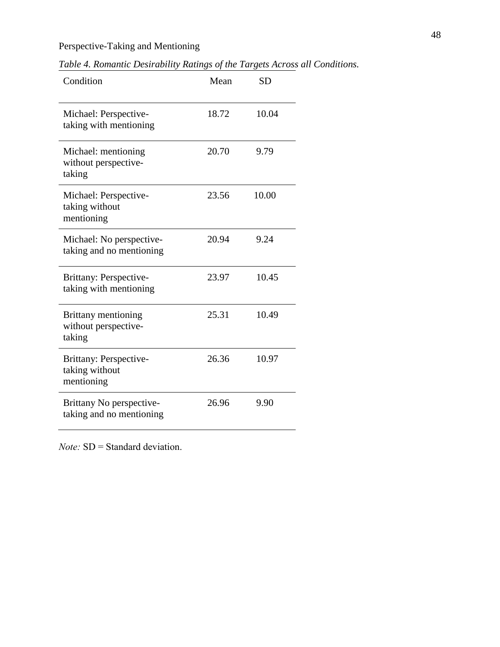*Table 4. Romantic Desirability Ratings of the Targets Across all Conditions.*

| Condition                                                    | Mean  | <b>SD</b> |
|--------------------------------------------------------------|-------|-----------|
| Michael: Perspective-<br>taking with mentioning              | 18.72 | 10.04     |
| Michael: mentioning<br>without perspective-<br>taking        | 20.70 | 9.79      |
| Michael: Perspective-<br>taking without<br>mentioning        | 23.56 | 10.00     |
| Michael: No perspective-<br>taking and no mentioning         | 20.94 | 9.24      |
| Brittany: Perspective-<br>taking with mentioning             | 23.97 | 10.45     |
| <b>Brittany mentioning</b><br>without perspective-<br>taking | 25.31 | 10.49     |
| Brittany: Perspective-<br>taking without<br>mentioning       | 26.36 | 10.97     |
| Brittany No perspective-<br>taking and no mentioning         | 26.96 | 9.90      |

*Note:* SD = Standard deviation.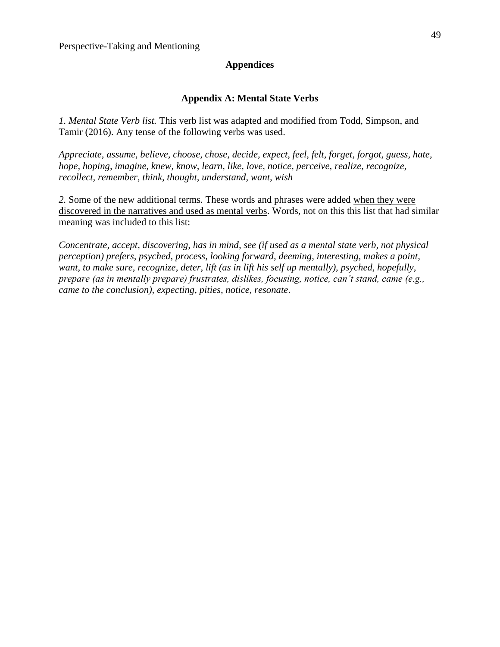## **Appendices**

## **Appendix A: Mental State Verbs**

*1. Mental State Verb list.* This verb list was adapted and modified from Todd, Simpson, and Tamir (2016). Any tense of the following verbs was used.

*Appreciate, assume, believe, choose, chose, decide, expect, feel, felt, forget, forgot, guess, hate, hope, hoping, imagine, knew, know, learn, like, love, notice, perceive, realize, recognize, recollect, remember, think, thought, understand, want, wish*

*2.* Some of the new additional terms. These words and phrases were added when they were discovered in the narratives and used as mental verbs. Words, not on this this list that had similar meaning was included to this list:

*Concentrate, accept, discovering, has in mind, see (if used as a mental state verb, not physical perception) prefers, psyched, process, looking forward, deeming, interesting, makes a point, want, to make sure, recognize, deter, lift (as in lift his self up mentally), psyched, hopefully, prepare (as in mentally prepare) frustrates, dislikes, focusing, notice, can't stand, came (e.g., came to the conclusion), expecting, pities, notice, resonate*.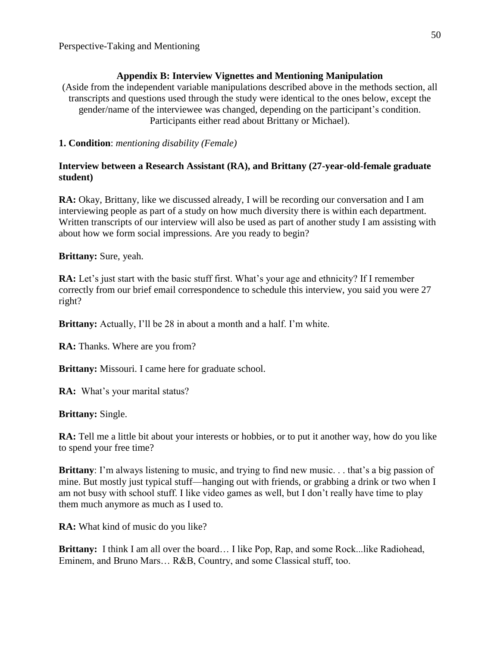## **Appendix B: Interview Vignettes and Mentioning Manipulation**

(Aside from the independent variable manipulations described above in the methods section, all transcripts and questions used through the study were identical to the ones below, except the gender/name of the interviewee was changed, depending on the participant's condition. Participants either read about Brittany or Michael).

**1. Condition**: *mentioning disability (Female)*

## **Interview between a Research Assistant (RA), and Brittany (27-year-old-female graduate student)**

**RA:** Okay, Brittany, like we discussed already, I will be recording our conversation and I am interviewing people as part of a study on how much diversity there is within each department. Written transcripts of our interview will also be used as part of another study I am assisting with about how we form social impressions. Are you ready to begin?

**Brittany:** Sure, yeah.

**RA:** Let's just start with the basic stuff first. What's your age and ethnicity? If I remember correctly from our brief email correspondence to schedule this interview, you said you were 27 right?

**Brittany:** Actually, I'll be 28 in about a month and a half. I'm white.

**RA:** Thanks. Where are you from?

**Brittany:** Missouri. I came here for graduate school.

**RA:** What's your marital status?

## **Brittany:** Single.

**RA:** Tell me a little bit about your interests or hobbies, or to put it another way, how do you like to spend your free time?

**Brittany**: I'm always listening to music, and trying to find new music. . . that's a big passion of mine. But mostly just typical stuff—hanging out with friends, or grabbing a drink or two when I am not busy with school stuff. I like video games as well, but I don't really have time to play them much anymore as much as I used to.

**RA:** What kind of music do you like?

**Brittany:** I think I am all over the board… I like Pop, Rap, and some Rock...like Radiohead, Eminem, and Bruno Mars… R&B, Country, and some Classical stuff, too.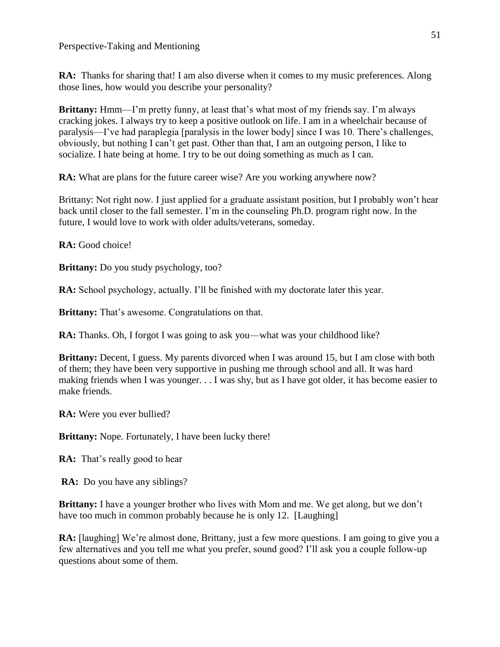**RA:** Thanks for sharing that! I am also diverse when it comes to my music preferences. Along those lines, how would you describe your personality?

**Brittany:** Hmm—I'm pretty funny, at least that's what most of my friends say. I'm always cracking jokes. I always try to keep a positive outlook on life. I am in a wheelchair because of paralysis—I've had paraplegia [paralysis in the lower body] since I was 10. There's challenges, obviously, but nothing I can't get past. Other than that, I am an outgoing person, I like to socialize. I hate being at home. I try to be out doing something as much as I can.

**RA:** What are plans for the future career wise? Are you working anywhere now?

Brittany: Not right now. I just applied for a graduate assistant position, but I probably won't hear back until closer to the fall semester. I'm in the counseling Ph.D. program right now. In the future, I would love to work with older adults/veterans, someday.

**RA:** Good choice!

**Brittany:** Do you study psychology, too?

**RA:** School psychology, actually. I'll be finished with my doctorate later this year.

**Brittany:** That's awesome. Congratulations on that.

**RA:** Thanks. Oh, I forgot I was going to ask you—what was your childhood like?

**Brittany:** Decent, I guess. My parents divorced when I was around 15, but I am close with both of them; they have been very supportive in pushing me through school and all. It was hard making friends when I was younger. . . I was shy, but as I have got older, it has become easier to make friends.

**RA:** Were you ever bullied?

**Brittany:** Nope. Fortunately, I have been lucky there!

**RA:** That's really good to hear

**RA:** Do you have any siblings?

**Brittany:** I have a younger brother who lives with Mom and me. We get along, but we don't have too much in common probably because he is only 12. [Laughing]

**RA:** [laughing] We're almost done, Brittany, just a few more questions. I am going to give you a few alternatives and you tell me what you prefer, sound good? I'll ask you a couple follow-up questions about some of them.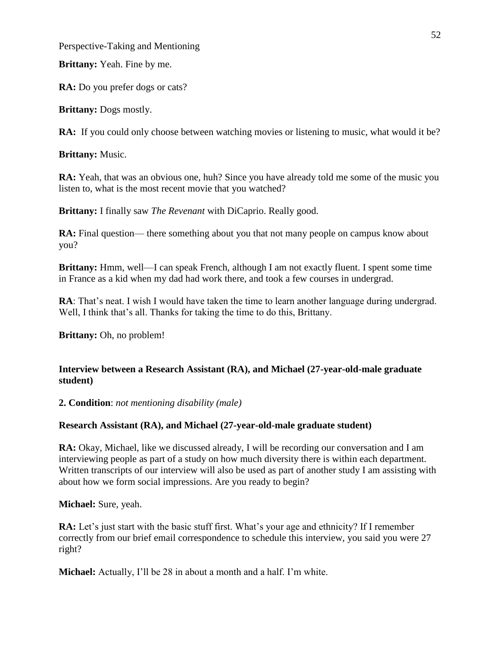**Brittany:** Yeah. Fine by me.

**RA:** Do you prefer dogs or cats?

**Brittany:** Dogs mostly.

**RA:** If you could only choose between watching movies or listening to music, what would it be?

**Brittany:** Music.

**RA:** Yeah, that was an obvious one, huh? Since you have already told me some of the music you listen to, what is the most recent movie that you watched?

**Brittany:** I finally saw *The Revenant* with DiCaprio. Really good.

**RA:** Final question— there something about you that not many people on campus know about you?

**Brittany:** Hmm, well—I can speak French, although I am not exactly fluent. I spent some time in France as a kid when my dad had work there, and took a few courses in undergrad.

**RA**: That's neat. I wish I would have taken the time to learn another language during undergrad. Well, I think that's all. Thanks for taking the time to do this, Brittany.

**Brittany:** Oh, no problem!

## **Interview between a Research Assistant (RA), and Michael (27-year-old-male graduate student)**

**2. Condition**: *not mentioning disability (male)*

## **Research Assistant (RA), and Michael (27-year-old-male graduate student)**

**RA:** Okay, Michael, like we discussed already, I will be recording our conversation and I am interviewing people as part of a study on how much diversity there is within each department. Written transcripts of our interview will also be used as part of another study I am assisting with about how we form social impressions. Are you ready to begin?

**Michael:** Sure, yeah.

**RA:** Let's just start with the basic stuff first. What's your age and ethnicity? If I remember correctly from our brief email correspondence to schedule this interview, you said you were 27 right?

**Michael:** Actually, I'll be 28 in about a month and a half. I'm white.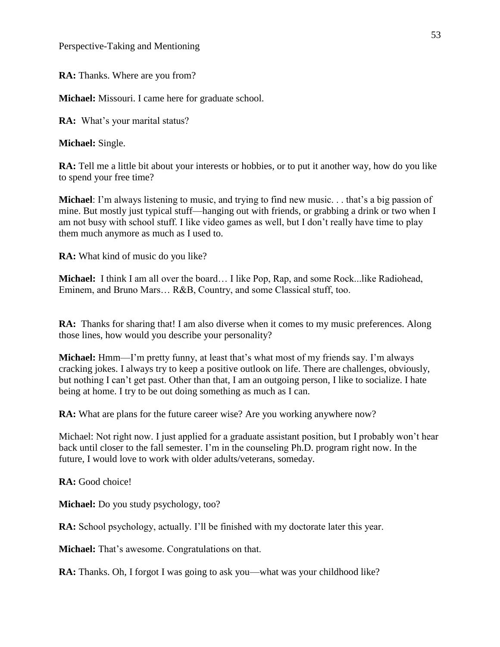**RA:** Thanks. Where are you from?

**Michael:** Missouri. I came here for graduate school.

**RA:** What's your marital status?

**Michael:** Single.

**RA:** Tell me a little bit about your interests or hobbies, or to put it another way, how do you like to spend your free time?

**Michael**: I'm always listening to music, and trying to find new music. . . that's a big passion of mine. But mostly just typical stuff—hanging out with friends, or grabbing a drink or two when I am not busy with school stuff. I like video games as well, but I don't really have time to play them much anymore as much as I used to.

**RA:** What kind of music do you like?

**Michael:** I think I am all over the board… I like Pop, Rap, and some Rock...like Radiohead, Eminem, and Bruno Mars… R&B, Country, and some Classical stuff, too.

**RA:** Thanks for sharing that! I am also diverse when it comes to my music preferences. Along those lines, how would you describe your personality?

**Michael:** Hmm—I'm pretty funny, at least that's what most of my friends say. I'm always cracking jokes. I always try to keep a positive outlook on life. There are challenges, obviously, but nothing I can't get past. Other than that, I am an outgoing person, I like to socialize. I hate being at home. I try to be out doing something as much as I can.

**RA:** What are plans for the future career wise? Are you working anywhere now?

Michael: Not right now. I just applied for a graduate assistant position, but I probably won't hear back until closer to the fall semester. I'm in the counseling Ph.D. program right now. In the future, I would love to work with older adults/veterans, someday.

**RA:** Good choice!

**Michael:** Do you study psychology, too?

**RA:** School psychology, actually. I'll be finished with my doctorate later this year.

**Michael:** That's awesome. Congratulations on that.

**RA:** Thanks. Oh, I forgot I was going to ask you—what was your childhood like?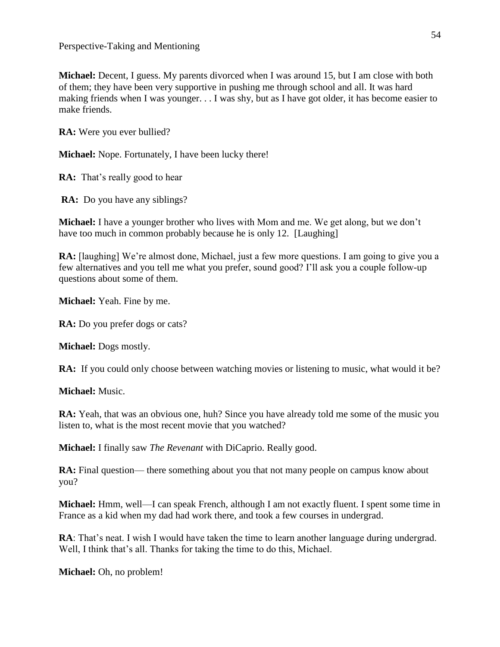**Michael:** Decent, I guess. My parents divorced when I was around 15, but I am close with both of them; they have been very supportive in pushing me through school and all. It was hard making friends when I was younger. . . I was shy, but as I have got older, it has become easier to make friends.

**RA:** Were you ever bullied?

**Michael:** Nope. Fortunately, I have been lucky there!

**RA:** That's really good to hear

**RA:** Do you have any siblings?

**Michael:** I have a younger brother who lives with Mom and me. We get along, but we don't have too much in common probably because he is only 12. [Laughing]

**RA:** [laughing] We're almost done, Michael, just a few more questions. I am going to give you a few alternatives and you tell me what you prefer, sound good? I'll ask you a couple follow-up questions about some of them.

**Michael:** Yeah. Fine by me.

**RA:** Do you prefer dogs or cats?

**Michael:** Dogs mostly.

**RA:** If you could only choose between watching movies or listening to music, what would it be?

**Michael:** Music.

**RA:** Yeah, that was an obvious one, huh? Since you have already told me some of the music you listen to, what is the most recent movie that you watched?

**Michael:** I finally saw *The Revenant* with DiCaprio. Really good.

**RA:** Final question— there something about you that not many people on campus know about you?

**Michael:** Hmm, well—I can speak French, although I am not exactly fluent. I spent some time in France as a kid when my dad had work there, and took a few courses in undergrad.

**RA**: That's neat. I wish I would have taken the time to learn another language during undergrad. Well, I think that's all. Thanks for taking the time to do this, Michael.

**Michael:** Oh, no problem!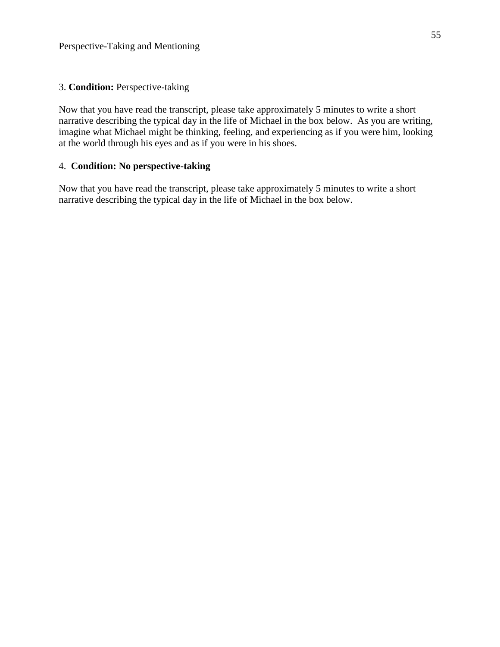## 3. **Condition:** Perspective-taking

Now that you have read the transcript, please take approximately 5 minutes to write a short narrative describing the typical day in the life of Michael in the box below. As you are writing, imagine what Michael might be thinking, feeling, and experiencing as if you were him, looking at the world through his eyes and as if you were in his shoes.

## 4. **Condition: No perspective-taking**

Now that you have read the transcript, please take approximately 5 minutes to write a short narrative describing the typical day in the life of Michael in the box below.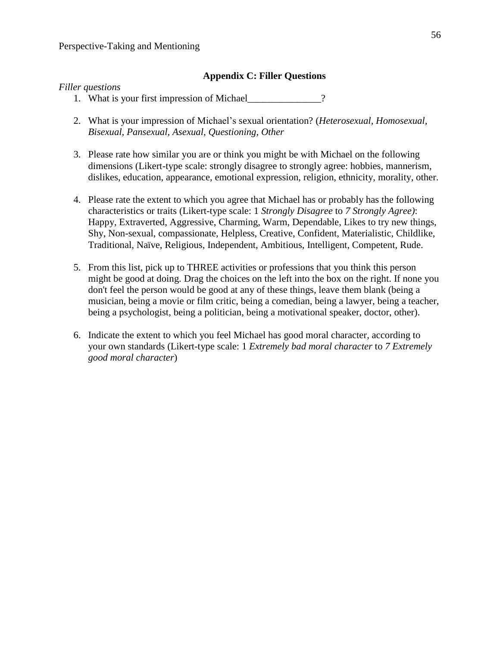#### **Appendix C: Filler Questions**

#### *Filler questions*

- 1. What is your first impression of Michael\_\_\_\_\_\_\_\_\_\_\_\_\_\_\_?
- 2. What is your impression of Michael's sexual orientation? (*Heterosexual, Homosexual, Bisexual, Pansexual, Asexual, Questioning, Other*
- 3. Please rate how similar you are or think you might be with Michael on the following dimensions (Likert-type scale: strongly disagree to strongly agree: hobbies, mannerism, dislikes, education, appearance, emotional expression, religion, ethnicity, morality, other.
- 4. Please rate the extent to which you agree that Michael has or probably has the following characteristics or traits (Likert-type scale: 1 *Strongly Disagree* to *7 Strongly Agree)*: Happy, Extraverted, Aggressive, Charming, Warm, Dependable, Likes to try new things, Shy, Non-sexual, compassionate, Helpless, Creative, Confident, Materialistic, Childlike, Traditional, Naïve, Religious, Independent, Ambitious, Intelligent, Competent, Rude.
- 5. From this list, pick up to THREE activities or professions that you think this person might be good at doing. Drag the choices on the left into the box on the right. If none you don't feel the person would be good at any of these things, leave them blank (being a musician, being a movie or film critic, being a comedian, being a lawyer, being a teacher, being a psychologist, being a politician, being a motivational speaker, doctor, other).
- 6. Indicate the extent to which you feel Michael has good moral character, according to your own standards (Likert-type scale: 1 *Extremely bad moral character* to *7 Extremely good moral character*)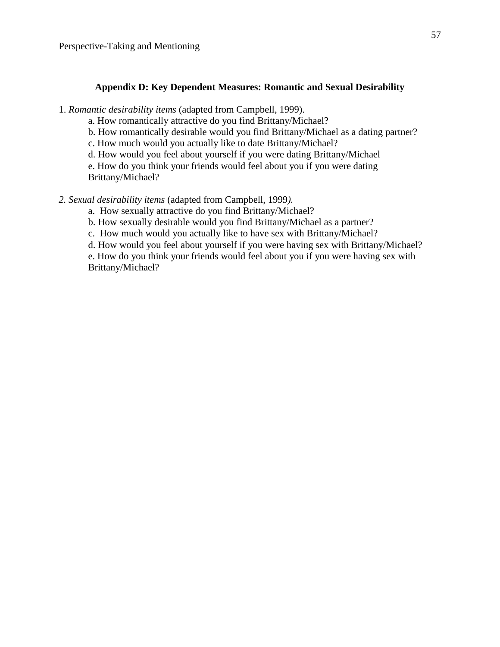#### **Appendix D: Key Dependent Measures: Romantic and Sexual Desirability**

1. *Romantic desirability items* (adapted from Campbell, 1999).

a. How romantically attractive do you find Brittany/Michael?

b. How romantically desirable would you find Brittany/Michael as a dating partner?

c. How much would you actually like to date Brittany/Michael?

d. How would you feel about yourself if you were dating Brittany/Michael

e. How do you think your friends would feel about you if you were dating Brittany/Michael?

*2. Sexual desirability items* (adapted from Campbell, 1999*).*

a. How sexually attractive do you find Brittany/Michael?

b. How sexually desirable would you find Brittany/Michael as a partner?

c. How much would you actually like to have sex with Brittany/Michael?

d. How would you feel about yourself if you were having sex with Brittany/Michael?

e. How do you think your friends would feel about you if you were having sex with Brittany/Michael?